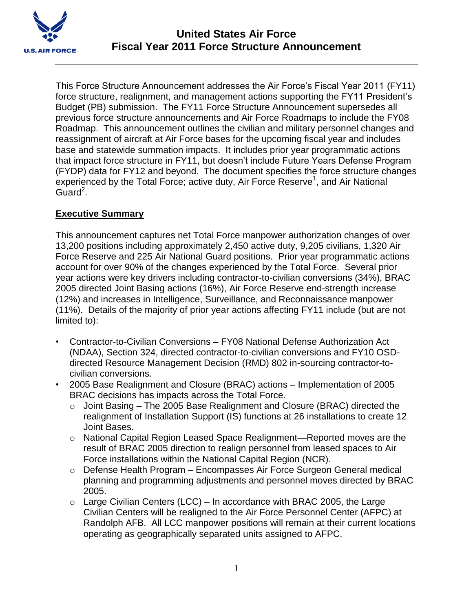

This Force Structure Announcement addresses the Air Force's Fiscal Year 2011 (FY11) force structure, realignment, and management actions supporting the FY11 President's Budget (PB) submission. The FY11 Force Structure Announcement supersedes all previous force structure announcements and Air Force Roadmaps to include the FY08 Roadmap. This announcement outlines the civilian and military personnel changes and reassignment of aircraft at Air Force bases for the upcoming fiscal year and includes base and statewide summation impacts. It includes prior year programmatic actions that impact force structure in FY11, but doesn't include Future Years Defense Program (FYDP) data for FY12 and beyond. The document specifies the force structure changes experienced by the Total Force; active duty, Air Force Reserve<sup>1</sup>, and Air National Guard<sup>2</sup>.

## **Executive Summary**

This announcement captures net Total Force manpower authorization changes of over 13,200 positions including approximately 2,450 active duty, 9,205 civilians, 1,320 Air Force Reserve and 225 Air National Guard positions. Prior year programmatic actions account for over 90% of the changes experienced by the Total Force. Several prior year actions were key drivers including contractor-to-civilian conversions (34%), BRAC 2005 directed Joint Basing actions (16%), Air Force Reserve end-strength increase (12%) and increases in Intelligence, Surveillance, and Reconnaissance manpower (11%). Details of the majority of prior year actions affecting FY11 include (but are not limited to):

- Contractor-to-Civilian Conversions FY08 National Defense Authorization Act (NDAA), Section 324, directed contractor-to-civilian conversions and FY10 OSDdirected Resource Management Decision (RMD) 802 in-sourcing contractor-tocivilian conversions.
- 2005 Base Realignment and Closure (BRAC) actions Implementation of 2005 BRAC decisions has impacts across the Total Force.
	- o Joint Basing The 2005 Base Realignment and Closure (BRAC) directed the realignment of Installation Support (IS) functions at 26 installations to create 12 Joint Bases.
	- o National Capital Region Leased Space Realignment—Reported moves are the result of BRAC 2005 direction to realign personnel from leased spaces to Air Force installations within the National Capital Region (NCR).
	- o Defense Health Program Encompasses Air Force Surgeon General medical planning and programming adjustments and personnel moves directed by BRAC 2005.
	- $\circ$  Large Civilian Centers (LCC) In accordance with BRAC 2005, the Large Civilian Centers will be realigned to the Air Force Personnel Center (AFPC) at Randolph AFB. All LCC manpower positions will remain at their current locations operating as geographically separated units assigned to AFPC.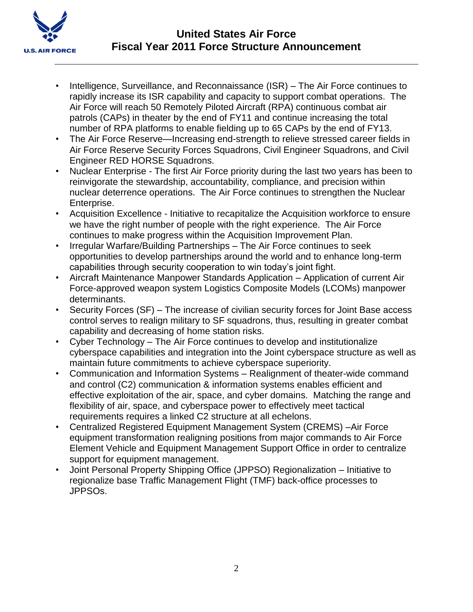

- Intelligence, Surveillance, and Reconnaissance (ISR) The Air Force continues to rapidly increase its ISR capability and capacity to support combat operations. The Air Force will reach 50 Remotely Piloted Aircraft (RPA) continuous combat air patrols (CAPs) in theater by the end of FY11 and continue increasing the total number of RPA platforms to enable fielding up to 65 CAPs by the end of FY13.
- The Air Force Reserve—Increasing end-strength to relieve stressed career fields in Air Force Reserve Security Forces Squadrons, Civil Engineer Squadrons, and Civil Engineer RED HORSE Squadrons.
- Nuclear Enterprise The first Air Force priority during the last two years has been to reinvigorate the stewardship, accountability, compliance, and precision within nuclear deterrence operations. The Air Force continues to strengthen the Nuclear Enterprise.
- Acquisition Excellence Initiative to recapitalize the Acquisition workforce to ensure we have the right number of people with the right experience. The Air Force continues to make progress within the Acquisition Improvement Plan.
- Irregular Warfare/Building Partnerships The Air Force continues to seek opportunities to develop partnerships around the world and to enhance long-term capabilities through security cooperation to win today's joint fight.
- Aircraft Maintenance Manpower Standards Application Application of current Air Force-approved weapon system Logistics Composite Models (LCOMs) manpower determinants.
- Security Forces (SF) The increase of civilian security forces for Joint Base access control serves to realign military to SF squadrons, thus, resulting in greater combat capability and decreasing of home station risks.
- Cyber Technology The Air Force continues to develop and institutionalize cyberspace capabilities and integration into the Joint cyberspace structure as well as maintain future commitments to achieve cyberspace superiority.
- Communication and Information Systems Realignment of theater-wide command and control (C2) communication & information systems enables efficient and effective exploitation of the air, space, and cyber domains. Matching the range and flexibility of air, space, and cyberspace power to effectively meet tactical requirements requires a linked C2 structure at all echelons.
- Centralized Registered Equipment Management System (CREMS) –Air Force equipment transformation realigning positions from major commands to Air Force Element Vehicle and Equipment Management Support Office in order to centralize support for equipment management.
- Joint Personal Property Shipping Office (JPPSO) Regionalization Initiative to regionalize base Traffic Management Flight (TMF) back-office processes to JPPSOs.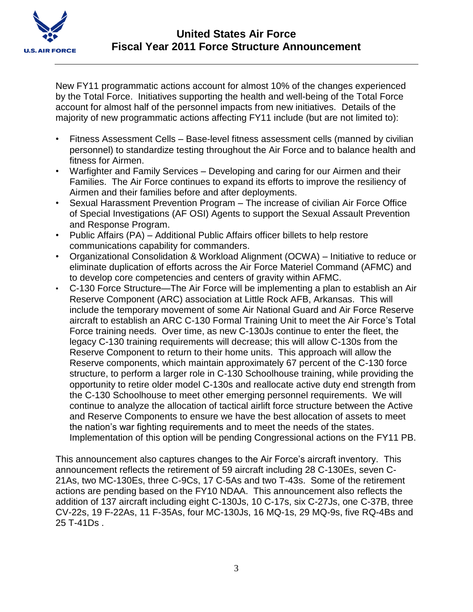

New FY11 programmatic actions account for almost 10% of the changes experienced by the Total Force. Initiatives supporting the health and well-being of the Total Force account for almost half of the personnel impacts from new initiatives. Details of the majority of new programmatic actions affecting FY11 include (but are not limited to):

- Fitness Assessment Cells Base-level fitness assessment cells (manned by civilian personnel) to standardize testing throughout the Air Force and to balance health and fitness for Airmen.
- Warfighter and Family Services Developing and caring for our Airmen and their Families. The Air Force continues to expand its efforts to improve the resiliency of Airmen and their families before and after deployments.
- Sexual Harassment Prevention Program The increase of civilian Air Force Office of Special Investigations (AF OSI) Agents to support the Sexual Assault Prevention and Response Program.
- Public Affairs (PA) Additional Public Affairs officer billets to help restore communications capability for commanders.
- Organizational Consolidation & Workload Alignment (OCWA) Initiative to reduce or eliminate duplication of efforts across the Air Force Materiel Command (AFMC) and to develop core competencies and centers of gravity within AFMC.
- C-130 Force Structure—The Air Force will be implementing a plan to establish an Air Reserve Component (ARC) association at Little Rock AFB, Arkansas. This will include the temporary movement of some Air National Guard and Air Force Reserve aircraft to establish an ARC C-130 Formal Training Unit to meet the Air Force's Total Force training needs. Over time, as new C-130Js continue to enter the fleet, the legacy C-130 training requirements will decrease; this will allow C-130s from the Reserve Component to return to their home units. This approach will allow the Reserve components, which maintain approximately 67 percent of the C-130 force structure, to perform a larger role in C-130 Schoolhouse training, while providing the opportunity to retire older model C-130s and reallocate active duty end strength from the C-130 Schoolhouse to meet other emerging personnel requirements. We will continue to analyze the allocation of tactical airlift force structure between the Active and Reserve Components to ensure we have the best allocation of assets to meet the nation's war fighting requirements and to meet the needs of the states. Implementation of this option will be pending Congressional actions on the FY11 PB.

This announcement also captures changes to the Air Force's aircraft inventory. This announcement reflects the retirement of 59 aircraft including 28 C-130Es, seven C-21As, two MC-130Es, three C-9Cs, 17 C-5As and two T-43s. Some of the retirement actions are pending based on the FY10 NDAA. This announcement also reflects the addition of 137 aircraft including eight C-130Js, 10 C-17s, six C-27Js, one C-37B, three CV-22s, 19 F-22As, 11 F-35As, four MC-130Js, 16 MQ-1s, 29 MQ-9s, five RQ-4Bs and 25 T-41Ds .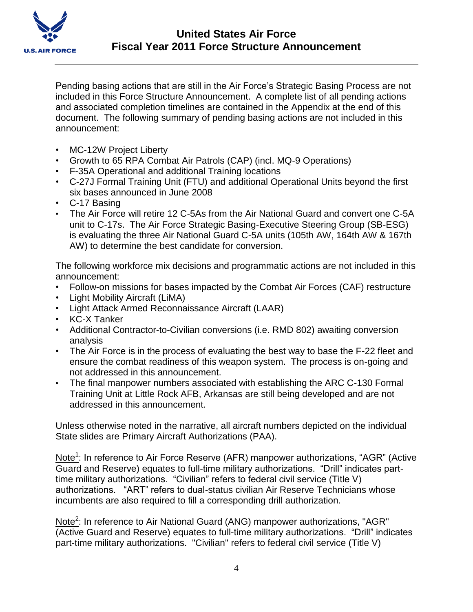

Pending basing actions that are still in the Air Force's Strategic Basing Process are not included in this Force Structure Announcement. A complete list of all pending actions and associated completion timelines are contained in the Appendix at the end of this document. The following summary of pending basing actions are not included in this announcement:

- MC-12W Project Liberty
- Growth to 65 RPA Combat Air Patrols (CAP) (incl. MQ-9 Operations)
- F-35A Operational and additional Training locations
- C-27J Formal Training Unit (FTU) and additional Operational Units beyond the first six bases announced in June 2008
- C-17 Basing
- The Air Force will retire 12 C-5As from the Air National Guard and convert one C-5A unit to C-17s. The Air Force Strategic Basing-Executive Steering Group (SB-ESG) is evaluating the three Air National Guard C-5A units (105th AW, 164th AW & 167th AW) to determine the best candidate for conversion.

The following workforce mix decisions and programmatic actions are not included in this announcement:

- Follow-on missions for bases impacted by the Combat Air Forces (CAF) restructure
- Light Mobility Aircraft (LiMA)
- Light Attack Armed Reconnaissance Aircraft (LAAR)
- KC-X Tanker
- Additional Contractor-to-Civilian conversions (i.e. RMD 802) awaiting conversion analysis
- The Air Force is in the process of evaluating the best way to base the F-22 fleet and ensure the combat readiness of this weapon system. The process is on-going and not addressed in this announcement.
- The final manpower numbers associated with establishing the ARC C-130 Formal Training Unit at Little Rock AFB, Arkansas are still being developed and are not addressed in this announcement.

Unless otherwise noted in the narrative, all aircraft numbers depicted on the individual State slides are Primary Aircraft Authorizations (PAA).

Note<sup>1</sup>: In reference to Air Force Reserve (AFR) manpower authorizations, "AGR" (Active Guard and Reserve) equates to full-time military authorizations. "Drill" indicates parttime military authorizations. "Civilian" refers to federal civil service (Title V) authorizations. "ART" refers to dual-status civilian Air Reserve Technicians whose incumbents are also required to fill a corresponding drill authorization.

Note<sup>2</sup>: In reference to Air National Guard (ANG) manpower authorizations, "AGR" (Active Guard and Reserve) equates to full-time military authorizations. "Drill" indicates part-time military authorizations. "Civilian" refers to federal civil service (Title V)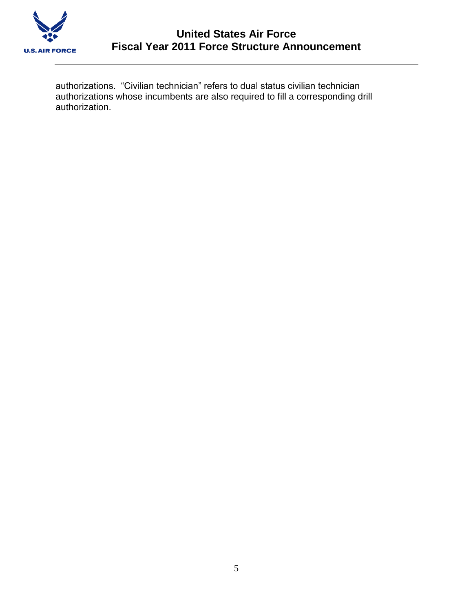

authorizations. "Civilian technician" refers to dual status civilian technician authorizations whose incumbents are also required to fill a corresponding drill authorization.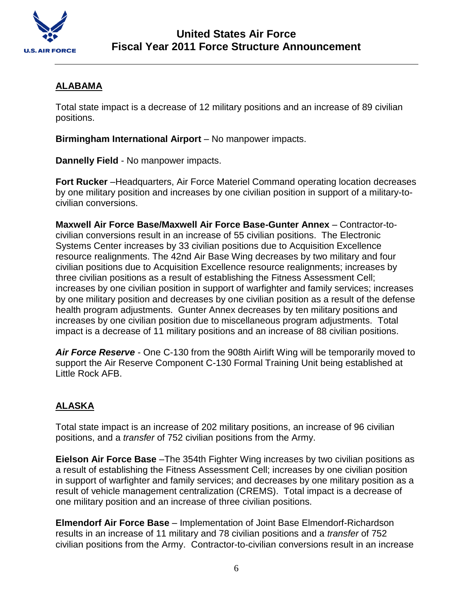

# **ALABAMA**

Total state impact is a decrease of 12 military positions and an increase of 89 civilian positions.

**Birmingham International Airport** – No manpower impacts.

**Dannelly Field** - No manpower impacts.

**Fort Rucker** –Headquarters, Air Force Materiel Command operating location decreases by one military position and increases by one civilian position in support of a military-tocivilian conversions.

**Maxwell Air Force Base/Maxwell Air Force Base-Gunter Annex** – Contractor-tocivilian conversions result in an increase of 55 civilian positions. The Electronic Systems Center increases by 33 civilian positions due to Acquisition Excellence resource realignments. The 42nd Air Base Wing decreases by two military and four civilian positions due to Acquisition Excellence resource realignments; increases by three civilian positions as a result of establishing the Fitness Assessment Cell; increases by one civilian position in support of warfighter and family services; increases by one military position and decreases by one civilian position as a result of the defense health program adjustments. Gunter Annex decreases by ten military positions and increases by one civilian position due to miscellaneous program adjustments. Total impact is a decrease of 11 military positions and an increase of 88 civilian positions.

*Air Force Reserve* - One C-130 from the 908th Airlift Wing will be temporarily moved to support the Air Reserve Component C-130 Formal Training Unit being established at Little Rock AFB.

# **ALASKA**

Total state impact is an increase of 202 military positions, an increase of 96 civilian positions, and a *transfer* of 752 civilian positions from the Army.

**Eielson Air Force Base** – The 354th Fighter Wing increases by two civilian positions as a result of establishing the Fitness Assessment Cell; increases by one civilian position in support of warfighter and family services; and decreases by one military position as a result of vehicle management centralization (CREMS). Total impact is a decrease of one military position and an increase of three civilian positions.

**Elmendorf Air Force Base** – Implementation of Joint Base Elmendorf-Richardson results in an increase of 11 military and 78 civilian positions and a *transfer* of 752 civilian positions from the Army.Contractor-to-civilian conversions result in an increase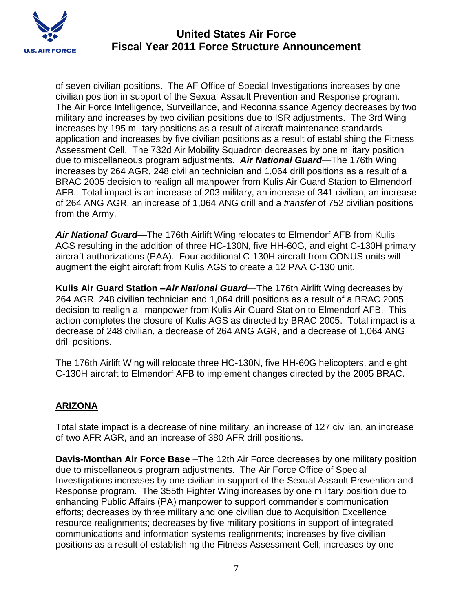

of seven civilian positions. The AF Office of Special Investigations increases by one civilian position in support of the Sexual Assault Prevention and Response program. The Air Force Intelligence, Surveillance, and Reconnaissance Agency decreases by two military and increases by two civilian positions due to ISR adjustments. The 3rd Wing increases by 195 military positions as a result of aircraft maintenance standards application and increases by five civilian positions as a result of establishing the Fitness Assessment Cell. The 732d Air Mobility Squadron decreases by one military position due to miscellaneous program adjustments. *Air National Guard—*The 176th Wing increases by 264 AGR, 248 civilian technician and 1,064 drill positions as a result of a BRAC 2005 decision to realign all manpower from Kulis Air Guard Station to Elmendorf AFB. Total impact is an increase of 203 military, an increase of 341 civilian, an increase of 264 ANG AGR, an increase of 1,064 ANG drill and a *transfer* of 752 civilian positions from the Army.

*Air National Guard—*The 176th Airlift Wing relocates to Elmendorf AFB from Kulis AGS resulting in the addition of three HC-130N, five HH-60G, and eight C-130H primary aircraft authorizations (PAA). Four additional C-130H aircraft from CONUS units will augment the eight aircraft from Kulis AGS to create a 12 PAA C-130 unit.

**Kulis Air Guard Station –***Air National Guard*—The 176th Airlift Wing decreases by 264 AGR, 248 civilian technician and 1,064 drill positions as a result of a BRAC 2005 decision to realign all manpower from Kulis Air Guard Station to Elmendorf AFB. This action completes the closure of Kulis AGS as directed by BRAC 2005. Total impact is a decrease of 248 civilian, a decrease of 264 ANG AGR, and a decrease of 1,064 ANG drill positions.

The 176th Airlift Wing will relocate three HC-130N, five HH-60G helicopters, and eight C-130H aircraft to Elmendorf AFB to implement changes directed by the 2005 BRAC.

# **ARIZONA**

Total state impact is a decrease of nine military, an increase of 127 civilian, an increase of two AFR AGR, and an increase of 380 AFR drill positions.

**Davis-Monthan Air Force Base** –The 12th Air Force decreases by one military position due to miscellaneous program adjustments. The Air Force Office of Special Investigations increases by one civilian in support of the Sexual Assault Prevention and Response program. The 355th Fighter Wing increases by one military position due to enhancing Public Affairs (PA) manpower to support commander's communication efforts; decreases by three military and one civilian due to Acquisition Excellence resource realignments; decreases by five military positions in support of integrated communications and information systems realignments; increases by five civilian positions as a result of establishing the Fitness Assessment Cell; increases by one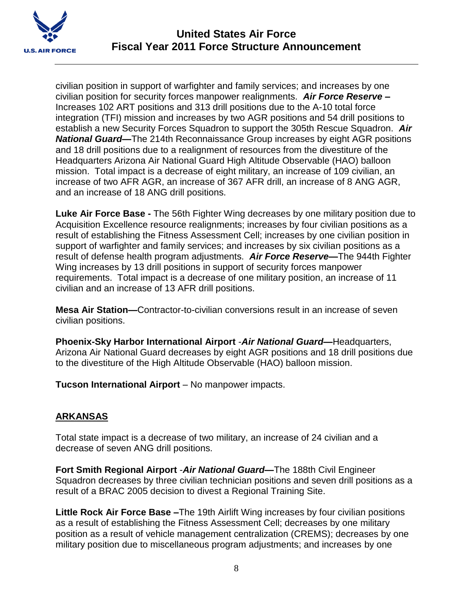

civilian position in support of warfighter and family services; and increases by one civilian position for security forces manpower realignments. *Air Force Reserve* **–** Increases 102 ART positions and 313 drill positions due to the A-10 total force integration (TFI) mission and increases by two AGR positions and 54 drill positions to establish a new Security Forces Squadron to support the 305th Rescue Squadron. *Air National Guard—*The 214th Reconnaissance Group increases by eight AGR positions and 18 drill positions due to a realignment of resources from the divestiture of the Headquarters Arizona Air National Guard High Altitude Observable (HAO) balloon mission. Total impact is a decrease of eight military, an increase of 109 civilian, an increase of two AFR AGR, an increase of 367 AFR drill, an increase of 8 ANG AGR, and an increase of 18 ANG drill positions.

**Luke Air Force Base -** The 56th Fighter Wing decreases by one military position due to Acquisition Excellence resource realignments; increases by four civilian positions as a result of establishing the Fitness Assessment Cell; increases by one civilian position in support of warfighter and family services; and increases by six civilian positions as a result of defense health program adjustments. *Air Force Reserve—*The 944th Fighter Wing increases by 13 drill positions in support of security forces manpower requirements. Total impact is a decrease of one military position, an increase of 11 civilian and an increase of 13 AFR drill positions.

**Mesa Air Station—**Contractor-to-civilian conversions result in an increase of seven civilian positions.

**Phoenix-Sky Harbor International Airport** -*Air National Guard—*Headquarters, Arizona Air National Guard decreases by eight AGR positions and 18 drill positions due to the divestiture of the High Altitude Observable (HAO) balloon mission.

**Tucson International Airport** – No manpower impacts.

## **ARKANSAS**

Total state impact is a decrease of two military, an increase of 24 civilian and a decrease of seven ANG drill positions.

**Fort Smith Regional Airport** -*Air National Guard—*The 188th Civil Engineer Squadron decreases by three civilian technician positions and seven drill positions as a result of a BRAC 2005 decision to divest a Regional Training Site.

**Little Rock Air Force Base –**The 19th Airlift Wing increases by four civilian positions as a result of establishing the Fitness Assessment Cell; decreases by one military position as a result of vehicle management centralization (CREMS); decreases by one military position due to miscellaneous program adjustments; and increases by one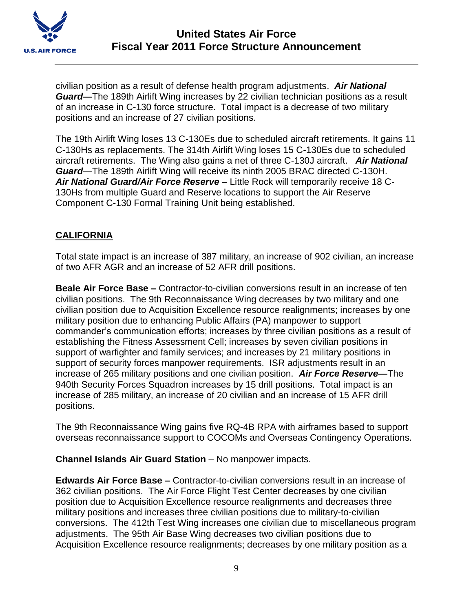

civilian position as a result of defense health program adjustments. *Air National Guard—*The 189th Airlift Wing increases by 22 civilian technician positions as a result of an increase in C-130 force structure. Total impact is a decrease of two military positions and an increase of 27 civilian positions.

The 19th Airlift Wing loses 13 C-130Es due to scheduled aircraft retirements. It gains 11 C-130Hs as replacements. The 314th Airlift Wing loses 15 C-130Es due to scheduled aircraft retirements. The Wing also gains a net of three C-130J aircraft. *Air National Guard—*The 189th Airlift Wing will receive its ninth 2005 BRAC directed C-130H. *Air National Guard/Air Force Reserve* – Little Rock will temporarily receive 18 C-130Hs from multiple Guard and Reserve locations to support the Air Reserve Component C-130 Formal Training Unit being established.

# **CALIFORNIA**

Total state impact is an increase of 387 military, an increase of 902 civilian, an increase of two AFR AGR and an increase of 52 AFR drill positions.

**Beale Air Force Base –** Contractor-to-civilian conversions result in an increase of ten civilian positions. The 9th Reconnaissance Wing decreases by two military and one civilian position due to Acquisition Excellence resource realignments; increases by one military position due to enhancing Public Affairs (PA) manpower to support commander's communication efforts; increases by three civilian positions as a result of establishing the Fitness Assessment Cell; increases by seven civilian positions in support of warfighter and family services; and increases by 21 military positions in support of security forces manpower requirements. ISR adjustments result in an increase of 265 military positions and one civilian position. *Air Force Reserve—*The 940th Security Forces Squadron increases by 15 drill positions. Total impact is an increase of 285 military, an increase of 20 civilian and an increase of 15 AFR drill positions.

The 9th Reconnaissance Wing gains five RQ-4B RPA with airframes based to support overseas reconnaissance support to COCOMs and Overseas Contingency Operations.

**Channel Islands Air Guard Station** – No manpower impacts.

**Edwards Air Force Base –** Contractor-to-civilian conversions result in an increase of 362 civilian positions. The Air Force Flight Test Center decreases by one civilian position due to Acquisition Excellence resource realignments and decreases three military positions and increases three civilian positions due to military-to-civilian conversions. The 412th Test Wing increases one civilian due to miscellaneous program adjustments. The 95th Air Base Wing decreases two civilian positions due to Acquisition Excellence resource realignments; decreases by one military position as a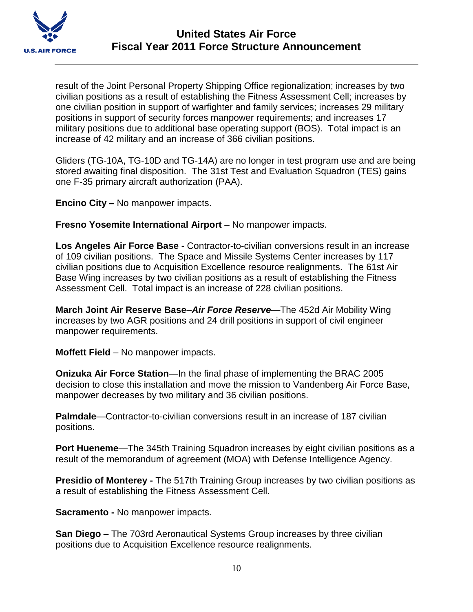

result of the Joint Personal Property Shipping Office regionalization; increases by two civilian positions as a result of establishing the Fitness Assessment Cell; increases by one civilian position in support of warfighter and family services; increases 29 military positions in support of security forces manpower requirements; and increases 17 military positions due to additional base operating support (BOS). Total impact is an increase of 42 military and an increase of 366 civilian positions.

Gliders (TG-10A, TG-10D and TG-14A) are no longer in test program use and are being stored awaiting final disposition. The 31st Test and Evaluation Squadron (TES) gains one F-35 primary aircraft authorization (PAA).

**Encino City –** No manpower impacts.

**Fresno Yosemite International Airport –** No manpower impacts.

**Los Angeles Air Force Base -** Contractor-to-civilian conversions result in an increase of 109 civilian positions. The Space and Missile Systems Center increases by 117 civilian positions due to Acquisition Excellence resource realignments. The 61st Air Base Wing increases by two civilian positions as a result of establishing the Fitness Assessment Cell. Total impact is an increase of 228 civilian positions.

**March Joint Air Reserve Base**–*Air Force Reserve*—The 452d Air Mobility Wing increases by two AGR positions and 24 drill positions in support of civil engineer manpower requirements.

**Moffett Field** – No manpower impacts.

**Onizuka Air Force Station**—In the final phase of implementing the BRAC 2005 decision to close this installation and move the mission to Vandenberg Air Force Base, manpower decreases by two military and 36 civilian positions.

**Palmdale**—Contractor-to-civilian conversions result in an increase of 187 civilian positions.

**Port Hueneme**—The 345th Training Squadron increases by eight civilian positions as a result of the memorandum of agreement (MOA) with Defense Intelligence Agency.

**Presidio of Monterey -** The 517th Training Group increases by two civilian positions as a result of establishing the Fitness Assessment Cell.

**Sacramento -** No manpower impacts.

**San Diego –** The 703rd Aeronautical Systems Group increases by three civilian positions due to Acquisition Excellence resource realignments.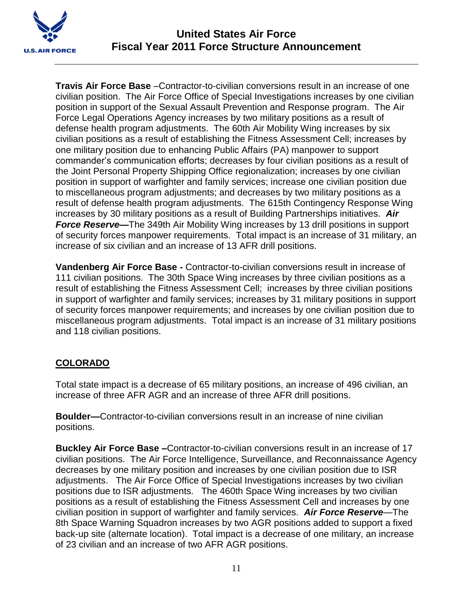

**Travis Air Force Base** –Contractor-to-civilian conversions result in an increase of one civilian position. The Air Force Office of Special Investigations increases by one civilian position in support of the Sexual Assault Prevention and Response program. The Air Force Legal Operations Agency increases by two military positions as a result of defense health program adjustments. The 60th Air Mobility Wing increases by six civilian positions as a result of establishing the Fitness Assessment Cell; increases by one military position due to enhancing Public Affairs (PA) manpower to support commander's communication efforts; decreases by four civilian positions as a result of the Joint Personal Property Shipping Office regionalization; increases by one civilian position in support of warfighter and family services; increase one civilian position due to miscellaneous program adjustments; and decreases by two military positions as a result of defense health program adjustments. The 615th Contingency Response Wing increases by 30 military positions as a result of Building Partnerships initiatives. *Air*  **Force Reserve-**The 349th Air Mobility Wing increases by 13 drill positions in support of security forces manpower requirements. Total impact is an increase of 31 military, an increase of six civilian and an increase of 13 AFR drill positions.

**Vandenberg Air Force Base -** Contractor-to-civilian conversions result in increase of 111 civilian positions. The 30th Space Wing increases by three civilian positions as a result of establishing the Fitness Assessment Cell; increases by three civilian positions in support of warfighter and family services; increases by 31 military positions in support of security forces manpower requirements; and increases by one civilian position due to miscellaneous program adjustments. Total impact is an increase of 31 military positions and 118 civilian positions.

# **COLORADO**

Total state impact is a decrease of 65 military positions, an increase of 496 civilian, an increase of three AFR AGR and an increase of three AFR drill positions.

**Boulder—**Contractor-to-civilian conversions result in an increase of nine civilian positions.

**Buckley Air Force Base –**Contractor-to-civilian conversions result in an increase of 17 civilian positions. The Air Force Intelligence, Surveillance, and Reconnaissance Agency decreases by one military position and increases by one civilian position due to ISR adjustments. The Air Force Office of Special Investigations increases by two civilian positions due to ISR adjustments. The 460th Space Wing increases by two civilian positions as a result of establishing the Fitness Assessment Cell and increases by one civilian position in support of warfighter and family services. *Air Force Reserve*—The 8th Space Warning Squadron increases by two AGR positions added to support a fixed back-up site (alternate location). Total impact is a decrease of one military, an increase of 23 civilian and an increase of two AFR AGR positions.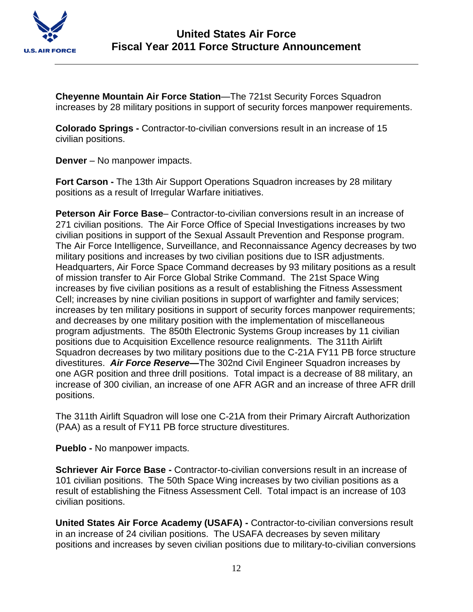

**Cheyenne Mountain Air Force Station**—The 721st Security Forces Squadron increases by 28 military positions in support of security forces manpower requirements.

**Colorado Springs -** Contractor-to-civilian conversions result in an increase of 15 civilian positions.

**Denver** – No manpower impacts.

**Fort Carson -** The 13th Air Support Operations Squadron increases by 28 military positions as a result of Irregular Warfare initiatives.

**Peterson Air Force Base**– Contractor-to-civilian conversions result in an increase of 271 civilian positions. The Air Force Office of Special Investigations increases by two civilian positions in support of the Sexual Assault Prevention and Response program. The Air Force Intelligence, Surveillance, and Reconnaissance Agency decreases by two military positions and increases by two civilian positions due to ISR adjustments. Headquarters, Air Force Space Command decreases by 93 military positions as a result of mission transfer to Air Force Global Strike Command. The 21st Space Wing increases by five civilian positions as a result of establishing the Fitness Assessment Cell; increases by nine civilian positions in support of warfighter and family services; increases by ten military positions in support of security forces manpower requirements; and decreases by one military position with the implementation of miscellaneous program adjustments. The 850th Electronic Systems Group increases by 11 civilian positions due to Acquisition Excellence resource realignments. The 311th Airlift Squadron decreases by two military positions due to the C-21A FY11 PB force structure divestitures. *Air Force Reserve—*The 302nd Civil Engineer Squadron increases by one AGR position and three drill positions. Total impact is a decrease of 88 military, an increase of 300 civilian, an increase of one AFR AGR and an increase of three AFR drill positions.

The 311th Airlift Squadron will lose one C-21A from their Primary Aircraft Authorization (PAA) as a result of FY11 PB force structure divestitures.

**Pueblo -** No manpower impacts.

**Schriever Air Force Base -** Contractor-to-civilian conversions result in an increase of 101 civilian positions. The 50th Space Wing increases by two civilian positions as a result of establishing the Fitness Assessment Cell. Total impact is an increase of 103 civilian positions.

**United States Air Force Academy (USAFA) -** Contractor-to-civilian conversions result in an increase of 24 civilian positions. The USAFA decreases by seven military positions and increases by seven civilian positions due to military-to-civilian conversions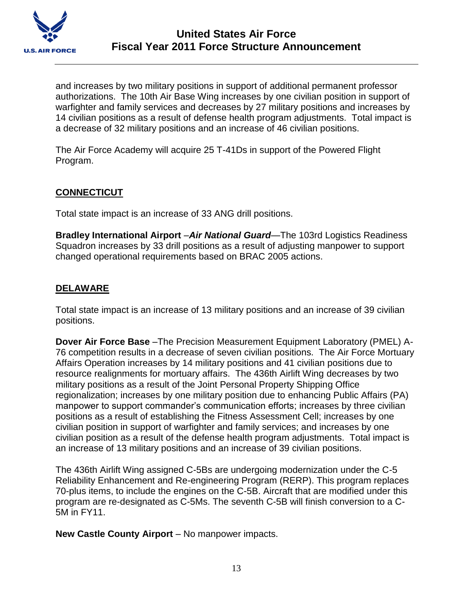

and increases by two military positions in support of additional permanent professor authorizations. The 10th Air Base Wing increases by one civilian position in support of warfighter and family services and decreases by 27 military positions and increases by 14 civilian positions as a result of defense health program adjustments. Total impact is a decrease of 32 military positions and an increase of 46 civilian positions.

The Air Force Academy will acquire 25 T-41Ds in support of the Powered Flight Program.

## **CONNECTICUT**

Total state impact is an increase of 33 ANG drill positions.

**Bradley International Airport** –*Air National Guard*—The 103rd Logistics Readiness Squadron increases by 33 drill positions as a result of adjusting manpower to support changed operational requirements based on BRAC 2005 actions.

## **DELAWARE**

Total state impact is an increase of 13 military positions and an increase of 39 civilian positions.

**Dover Air Force Base** –The Precision Measurement Equipment Laboratory (PMEL) A-76 competition results in a decrease of seven civilian positions. The Air Force Mortuary Affairs Operation increases by 14 military positions and 41 civilian positions due to resource realignments for mortuary affairs. The 436th Airlift Wing decreases by two military positions as a result of the Joint Personal Property Shipping Office regionalization; increases by one military position due to enhancing Public Affairs (PA) manpower to support commander's communication efforts; increases by three civilian positions as a result of establishing the Fitness Assessment Cell; increases by one civilian position in support of warfighter and family services; and increases by one civilian position as a result of the defense health program adjustments. Total impact is an increase of 13 military positions and an increase of 39 civilian positions.

The 436th Airlift Wing assigned C-5Bs are undergoing modernization under the C-5 Reliability Enhancement and Re-engineering Program (RERP). This program replaces 70-plus items, to include the engines on the C-5B. Aircraft that are modified under this program are re-designated as C-5Ms. The seventh C-5B will finish conversion to a C-5M in FY11.

**New Castle County Airport** – No manpower impacts.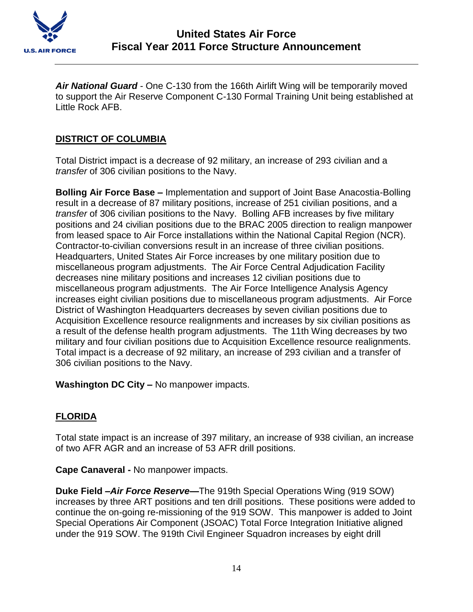

*Air National Guard* - One C-130 from the 166th Airlift Wing will be temporarily moved to support the Air Reserve Component C-130 Formal Training Unit being established at Little Rock AFB.

## **DISTRICT OF COLUMBIA**

Total District impact is a decrease of 92 military, an increase of 293 civilian and a *transfer* of 306 civilian positions to the Navy.

**Bolling Air Force Base –** Implementation and support of Joint Base Anacostia-Bolling result in a decrease of 87 military positions, increase of 251 civilian positions, and a *transfer* of 306 civilian positions to the Navy. Bolling AFB increases by five military positions and 24 civilian positions due to the BRAC 2005 direction to realign manpower from leased space to Air Force installations within the National Capital Region (NCR). Contractor-to-civilian conversions result in an increase of three civilian positions. Headquarters, United States Air Force increases by one military position due to miscellaneous program adjustments. The Air Force Central Adjudication Facility decreases nine military positions and increases 12 civilian positions due to miscellaneous program adjustments. The Air Force Intelligence Analysis Agency increases eight civilian positions due to miscellaneous program adjustments. Air Force District of Washington Headquarters decreases by seven civilian positions due to Acquisition Excellence resource realignments and increases by six civilian positions as a result of the defense health program adjustments. The 11th Wing decreases by two military and four civilian positions due to Acquisition Excellence resource realignments. Total impact is a decrease of 92 military, an increase of 293 civilian and a transfer of 306 civilian positions to the Navy.

**Washington DC City –** No manpower impacts.

# **FLORIDA**

Total state impact is an increase of 397 military, an increase of 938 civilian, an increase of two AFR AGR and an increase of 53 AFR drill positions.

**Cape Canaveral -** No manpower impacts.

**Duke Field –***Air Force Reserve***—**The 919th Special Operations Wing (919 SOW) increases by three ART positions and ten drill positions. These positions were added to continue the on-going re-missioning of the 919 SOW. This manpower is added to Joint Special Operations Air Component (JSOAC) Total Force Integration Initiative aligned under the 919 SOW. The 919th Civil Engineer Squadron increases by eight drill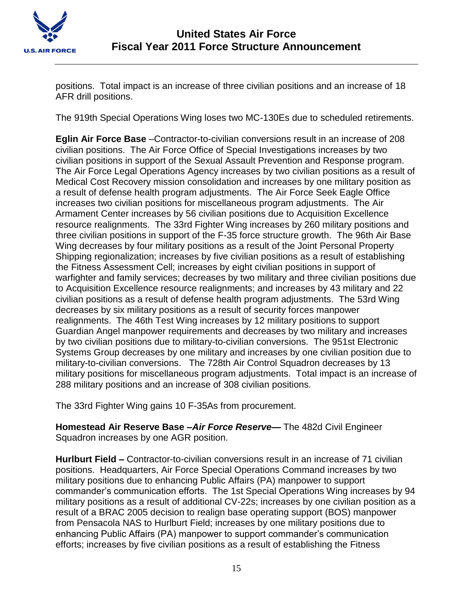

positions. Total impact is an increase of three civilian positions and an increase of 18 AFR drill positions.

The 919th Special Operations Wing loses two MC-130Es due to scheduled retirements.

**Eglin Air Force Base** –Contractor-to-civilian conversions result in an increase of 208 civilian positions. The Air Force Office of Special Investigations increases by two civilian positions in support of the Sexual Assault Prevention and Response program. The Air Force Legal Operations Agency increases by two civilian positions as a result of Medical Cost Recovery mission consolidation and increases by one military position as a result of defense health program adjustments. The Air Force Seek Eagle Office increases two civilian positions for miscellaneous program adjustments. The Air Armament Center increases by 56 civilian positions due to Acquisition Excellence resource realignments. The 33rd Fighter Wing increases by 260 military positions and three civilian positions in support of the F-35 force structure growth. The 96th Air Base Wing decreases by four military positions as a result of the Joint Personal Property Shipping regionalization; increases by five civilian positions as a result of establishing the Fitness Assessment Cell; increases by eight civilian positions in support of warfighter and family services; decreases by two military and three civilian positions due to Acquisition Excellence resource realignments; and increases by 43 military and 22 civilian positions as a result of defense health program adjustments. The 53rd Wing decreases by six military positions as a result of security forces manpower realignments. The 46th Test Wing increases by 12 military positions to support Guardian Angel manpower requirements and decreases by two military and increases by two civilian positions due to military-to-civilian conversions. The 951st Electronic Systems Group decreases by one military and increases by one civilian position due to military-to-civilian conversions. The 728th Air Control Squadron decreases by 13 military positions for miscellaneous program adjustments. Total impact is an increase of 288 military positions and an increase of 308 civilian positions.

The 33rd Fighter Wing gains 10 F-35As from procurement.

**Homestead Air Reserve Base –***Air Force Reserve***—** The 482d Civil Engineer Squadron increases by one AGR position.

**Hurlburt Field –** Contractor-to-civilian conversions result in an increase of 71 civilian positions. Headquarters, Air Force Special Operations Command increases by two military positions due to enhancing Public Affairs (PA) manpower to support commander's communication efforts. The 1st Special Operations Wing increases by 94 military positions as a result of additional CV-22s; increases by one civilian position as a result of a BRAC 2005 decision to realign base operating support (BOS) manpower from Pensacola NAS to Hurlburt Field; increases by one military positions due to enhancing Public Affairs (PA) manpower to support commander's communication efforts; increases by five civilian positions as a result of establishing the Fitness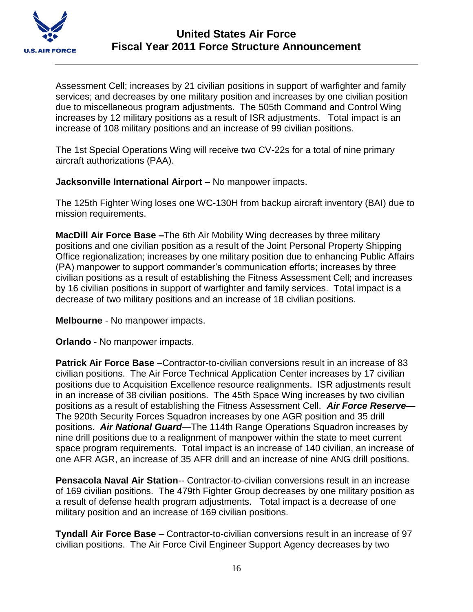

Assessment Cell; increases by 21 civilian positions in support of warfighter and family services; and decreases by one military position and increases by one civilian position due to miscellaneous program adjustments. The 505th Command and Control Wing increases by 12 military positions as a result of ISR adjustments. Total impact is an increase of 108 military positions and an increase of 99 civilian positions.

The 1st Special Operations Wing will receive two CV-22s for a total of nine primary aircraft authorizations (PAA).

**Jacksonville International Airport** – No manpower impacts.

The 125th Fighter Wing loses one WC-130H from backup aircraft inventory (BAI) due to mission requirements.

**MacDill Air Force Base –**The 6th Air Mobility Wing decreases by three military positions and one civilian position as a result of the Joint Personal Property Shipping Office regionalization; increases by one military position due to enhancing Public Affairs (PA) manpower to support commander's communication efforts; increases by three civilian positions as a result of establishing the Fitness Assessment Cell; and increases by 16 civilian positions in support of warfighter and family services. Total impact is a decrease of two military positions and an increase of 18 civilian positions.

**Melbourne** - No manpower impacts.

**Orlando** - No manpower impacts.

**Patrick Air Force Base** –Contractor-to-civilian conversions result in an increase of 83 civilian positions. The Air Force Technical Application Center increases by 17 civilian positions due to Acquisition Excellence resource realignments. ISR adjustments result in an increase of 38 civilian positions. The 45th Space Wing increases by two civilian positions as a result of establishing the Fitness Assessment Cell. *Air Force Reserve***—** The 920th Security Forces Squadron increases by one AGR position and 35 drill positions. *Air National Guard*—The 114th Range Operations Squadron increases by nine drill positions due to a realignment of manpower within the state to meet current space program requirements. Total impact is an increase of 140 civilian, an increase of one AFR AGR, an increase of 35 AFR drill and an increase of nine ANG drill positions.

**Pensacola Naval Air Station**-- Contractor-to-civilian conversions result in an increase of 169 civilian positions. The 479th Fighter Group decreases by one military position as a result of defense health program adjustments. Total impact is a decrease of one military position and an increase of 169 civilian positions.

**Tyndall Air Force Base** – Contractor-to-civilian conversions result in an increase of 97 civilian positions. The Air Force Civil Engineer Support Agency decreases by two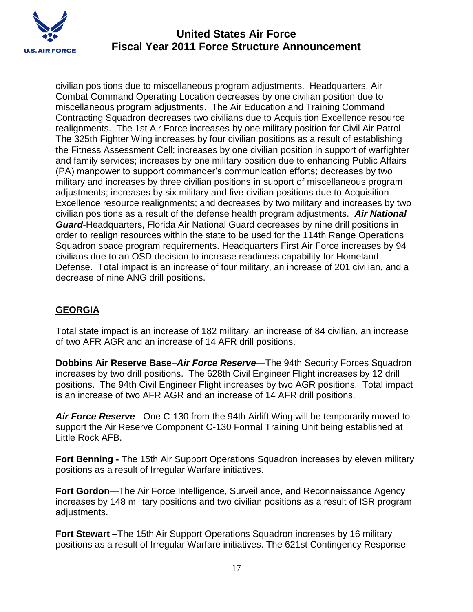

civilian positions due to miscellaneous program adjustments. Headquarters, Air Combat Command Operating Location decreases by one civilian position due to miscellaneous program adjustments. The Air Education and Training Command Contracting Squadron decreases two civilians due to Acquisition Excellence resource realignments. The 1st Air Force increases by one military position for Civil Air Patrol. The 325th Fighter Wing increases by four civilian positions as a result of establishing the Fitness Assessment Cell; increases by one civilian position in support of warfighter and family services; increases by one military position due to enhancing Public Affairs (PA) manpower to support commander's communication efforts; decreases by two military and increases by three civilian positions in support of miscellaneous program adjustments; increases by six military and five civilian positions due to Acquisition Excellence resource realignments; and decreases by two military and increases by two civilian positions as a result of the defense health program adjustments. *Air National Guard*-Headquarters, Florida Air National Guard decreases by nine drill positions in order to realign resources within the state to be used for the 114th Range Operations Squadron space program requirements. Headquarters First Air Force increases by 94 civilians due to an OSD decision to increase readiness capability for Homeland Defense. Total impact is an increase of four military, an increase of 201 civilian, and a decrease of nine ANG drill positions.

# **GEORGIA**

Total state impact is an increase of 182 military, an increase of 84 civilian, an increase of two AFR AGR and an increase of 14 AFR drill positions.

**Dobbins Air Reserve Base**–*Air Force Reserve*—The 94th Security Forces Squadron increases by two drill positions. The 628th Civil Engineer Flight increases by 12 drill positions. The 94th Civil Engineer Flight increases by two AGR positions. Total impact is an increase of two AFR AGR and an increase of 14 AFR drill positions.

*Air Force Reserve* - One C-130 from the 94th Airlift Wing will be temporarily moved to support the Air Reserve Component C-130 Formal Training Unit being established at Little Rock AFB.

**Fort Benning -** The 15th Air Support Operations Squadron increases by eleven military positions as a result of Irregular Warfare initiatives.

**Fort Gordon**—The Air Force Intelligence, Surveillance, and Reconnaissance Agency increases by 148 military positions and two civilian positions as a result of ISR program adjustments.

**Fort Stewart –**The 15th Air Support Operations Squadron increases by 16 military positions as a result of Irregular Warfare initiatives. The 621st Contingency Response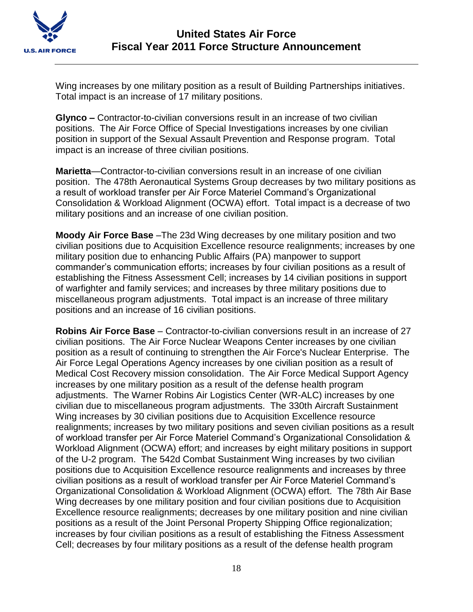

Wing increases by one military position as a result of Building Partnerships initiatives. Total impact is an increase of 17 military positions.

**Glynco –** Contractor-to-civilian conversions result in an increase of two civilian positions. The Air Force Office of Special Investigations increases by one civilian position in support of the Sexual Assault Prevention and Response program. Total impact is an increase of three civilian positions.

**Marietta**—Contractor-to-civilian conversions result in an increase of one civilian position. The 478th Aeronautical Systems Group decreases by two military positions as a result of workload transfer per Air Force Materiel Command's Organizational Consolidation & Workload Alignment (OCWA) effort. Total impact is a decrease of two military positions and an increase of one civilian position.

**Moody Air Force Base** –The 23d Wing decreases by one military position and two civilian positions due to Acquisition Excellence resource realignments; increases by one military position due to enhancing Public Affairs (PA) manpower to support commander's communication efforts; increases by four civilian positions as a result of establishing the Fitness Assessment Cell; increases by 14 civilian positions in support of warfighter and family services; and increases by three military positions due to miscellaneous program adjustments. Total impact is an increase of three military positions and an increase of 16 civilian positions.

**Robins Air Force Base** – Contractor-to-civilian conversions result in an increase of 27 civilian positions. The Air Force Nuclear Weapons Center increases by one civilian position as a result of continuing to strengthen the Air Force's Nuclear Enterprise. The Air Force Legal Operations Agency increases by one civilian position as a result of Medical Cost Recovery mission consolidation. The Air Force Medical Support Agency increases by one military position as a result of the defense health program adjustments. The Warner Robins Air Logistics Center (WR-ALC) increases by one civilian due to miscellaneous program adjustments. The 330th Aircraft Sustainment Wing increases by 30 civilian positions due to Acquisition Excellence resource realignments; increases by two military positions and seven civilian positions as a result of workload transfer per Air Force Materiel Command's Organizational Consolidation & Workload Alignment (OCWA) effort; and increases by eight military positions in support of the U-2 program. The 542d Combat Sustainment Wing increases by two civilian positions due to Acquisition Excellence resource realignments and increases by three civilian positions as a result of workload transfer per Air Force Materiel Command's Organizational Consolidation & Workload Alignment (OCWA) effort. The 78th Air Base Wing decreases by one military position and four civilian positions due to Acquisition Excellence resource realignments; decreases by one military position and nine civilian positions as a result of the Joint Personal Property Shipping Office regionalization; increases by four civilian positions as a result of establishing the Fitness Assessment Cell; decreases by four military positions as a result of the defense health program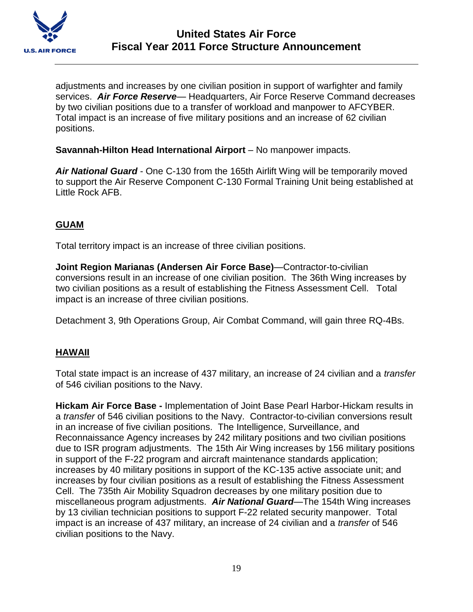

adjustments and increases by one civilian position in support of warfighter and family services. *Air Force Reserve*— Headquarters, Air Force Reserve Command decreases by two civilian positions due to a transfer of workload and manpower to AFCYBER. Total impact is an increase of five military positions and an increase of 62 civilian positions.

**Savannah-Hilton Head International Airport** – No manpower impacts.

*Air National Guard* - One C-130 from the 165th Airlift Wing will be temporarily moved to support the Air Reserve Component C-130 Formal Training Unit being established at Little Rock AFB.

# **GUAM**

Total territory impact is an increase of three civilian positions.

**Joint Region Marianas (Andersen Air Force Base)**—Contractor-to-civilian conversions result in an increase of one civilian position. The 36th Wing increases by two civilian positions as a result of establishing the Fitness Assessment Cell. Total impact is an increase of three civilian positions.

Detachment 3, 9th Operations Group, Air Combat Command, will gain three RQ-4Bs.

## **HAWAII**

Total state impact is an increase of 437 military, an increase of 24 civilian and a *transfer*  of 546 civilian positions to the Navy.

**Hickam Air Force Base -** Implementation of Joint Base Pearl Harbor-Hickam results in a *transfer* of 546 civilian positions to the Navy. Contractor-to-civilian conversions result in an increase of five civilian positions. The Intelligence, Surveillance, and Reconnaissance Agency increases by 242 military positions and two civilian positions due to ISR program adjustments. The 15th Air Wing increases by 156 military positions in support of the F-22 program and aircraft maintenance standards application; increases by 40 military positions in support of the KC-135 active associate unit; and increases by four civilian positions as a result of establishing the Fitness Assessment Cell. The 735th Air Mobility Squadron decreases by one military position due to miscellaneous program adjustments. *Air National Guard*—The 154th Wing increases by 13 civilian technician positions to support F-22 related security manpower. Total impact is an increase of 437 military, an increase of 24 civilian and a *transfer* of 546 civilian positions to the Navy.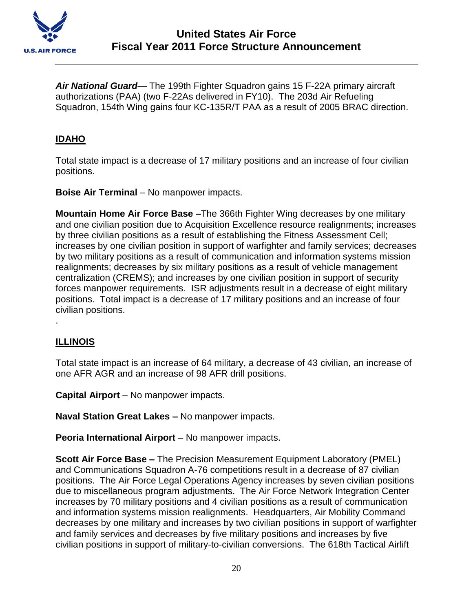

*Air National Guard*— The 199th Fighter Squadron gains 15 F-22A primary aircraft authorizations (PAA) (two F-22As delivered in FY10). The 203d Air Refueling Squadron, 154th Wing gains four KC-135R/T PAA as a result of 2005 BRAC direction.

## **IDAHO**

Total state impact is a decrease of 17 military positions and an increase of four civilian positions.

**Boise Air Terminal** – No manpower impacts.

**Mountain Home Air Force Base –**The 366th Fighter Wing decreases by one military and one civilian position due to Acquisition Excellence resource realignments; increases by three civilian positions as a result of establishing the Fitness Assessment Cell; increases by one civilian position in support of warfighter and family services; decreases by two military positions as a result of communication and information systems mission realignments; decreases by six military positions as a result of vehicle management centralization (CREMS); and increases by one civilian position in support of security forces manpower requirements. ISR adjustments result in a decrease of eight military positions. Total impact is a decrease of 17 military positions and an increase of four civilian positions. .

## **ILLINOIS**

Total state impact is an increase of 64 military, a decrease of 43 civilian, an increase of one AFR AGR and an increase of 98 AFR drill positions.

**Capital Airport** – No manpower impacts.

**Naval Station Great Lakes –** No manpower impacts.

**Peoria International Airport** – No manpower impacts.

**Scott Air Force Base –** The Precision Measurement Equipment Laboratory (PMEL) and Communications Squadron A-76 competitions result in a decrease of 87 civilian positions. The Air Force Legal Operations Agency increases by seven civilian positions due to miscellaneous program adjustments. The Air Force Network Integration Center increases by 70 military positions and 4 civilian positions as a result of communication and information systems mission realignments. Headquarters, Air Mobility Command decreases by one military and increases by two civilian positions in support of warfighter and family services and decreases by five military positions and increases by five civilian positions in support of military-to-civilian conversions. The 618th Tactical Airlift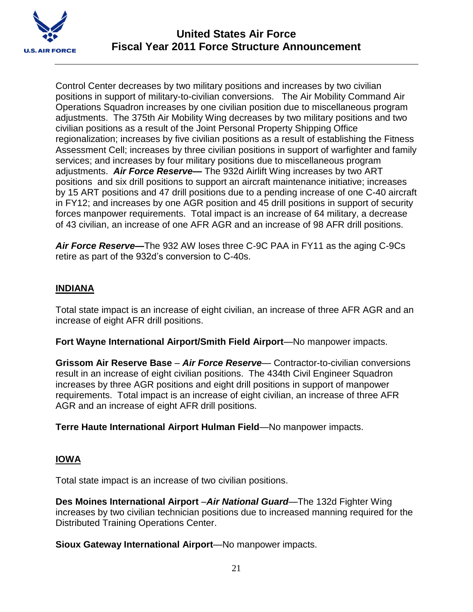

Control Center decreases by two military positions and increases by two civilian positions in support of military-to-civilian conversions. The Air Mobility Command Air Operations Squadron increases by one civilian position due to miscellaneous program adjustments. The 375th Air Mobility Wing decreases by two military positions and two civilian positions as a result of the Joint Personal Property Shipping Office regionalization; increases by five civilian positions as a result of establishing the Fitness Assessment Cell; increases by three civilian positions in support of warfighter and family services; and increases by four military positions due to miscellaneous program adjustments. *Air Force Reserve—* The 932d Airlift Wing increases by two ART positions and six drill positions to support an aircraft maintenance initiative; increases by 15 ART positions and 47 drill positions due to a pending increase of one C-40 aircraft in FY12; and increases by one AGR position and 45 drill positions in support of security forces manpower requirements. Total impact is an increase of 64 military, a decrease of 43 civilian, an increase of one AFR AGR and an increase of 98 AFR drill positions.

*Air Force Reserve—*The 932 AW loses three C-9C PAA in FY11 as the aging C-9Cs retire as part of the 932d's conversion to C-40s.

## **INDIANA**

Total state impact is an increase of eight civilian, an increase of three AFR AGR and an increase of eight AFR drill positions.

**Fort Wayne International Airport/Smith Field Airport**—No manpower impacts.

**Grissom Air Reserve Base** – *Air Force Reserve*— Contractor-to-civilian conversions result in an increase of eight civilian positions. The 434th Civil Engineer Squadron increases by three AGR positions and eight drill positions in support of manpower requirements. Total impact is an increase of eight civilian, an increase of three AFR AGR and an increase of eight AFR drill positions.

**Terre Haute International Airport Hulman Field**—No manpower impacts.

# **IOWA**

Total state impact is an increase of two civilian positions.

**Des Moines International Airport** –*Air National Guard*—The 132d Fighter Wing increases by two civilian technician positions due to increased manning required for the Distributed Training Operations Center.

**Sioux Gateway International Airport**—No manpower impacts.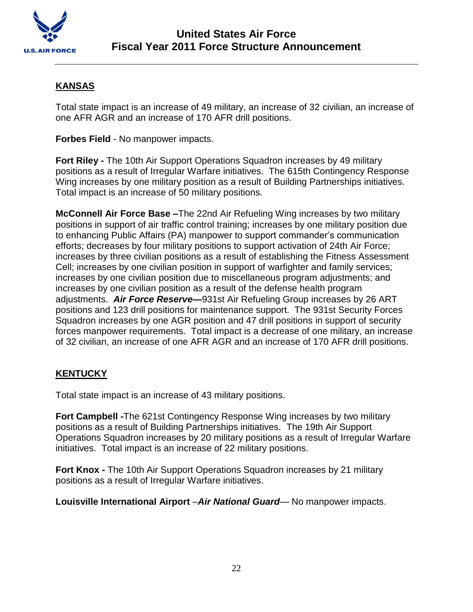

## **KANSAS**

Total state impact is an increase of 49 military, an increase of 32 civilian, an increase of one AFR AGR and an increase of 170 AFR drill positions.

**Forbes Field** - No manpower impacts.

**Fort Riley -** The 10th Air Support Operations Squadron increases by 49 military positions as a result of Irregular Warfare initiatives. The 615th Contingency Response Wing increases by one military position as a result of Building Partnerships initiatives. Total impact is an increase of 50 military positions.

**McConnell Air Force Base –**The 22nd Air Refueling Wing increases by two military positions in support of air traffic control training; increases by one military position due to enhancing Public Affairs (PA) manpower to support commander's communication efforts; decreases by four military positions to support activation of 24th Air Force; increases by three civilian positions as a result of establishing the Fitness Assessment Cell; increases by one civilian position in support of warfighter and family services; increases by one civilian position due to miscellaneous program adjustments; and increases by one civilian position as a result of the defense health program adjustments. *Air Force Reserve—*931st Air Refueling Group increases by 26 ART positions and 123 drill positions for maintenance support. The 931st Security Forces Squadron increases by one AGR position and 47 drill positions in support of security forces manpower requirements. Total impact is a decrease of one military, an increase of 32 civilian, an increase of one AFR AGR and an increase of 170 AFR drill positions.

## **KENTUCKY**

Total state impact is an increase of 43 military positions.

**Fort Campbell -**The 621st Contingency Response Wing increases by two military positions as a result of Building Partnerships initiatives. The 19th Air Support Operations Squadron increases by 20 military positions as a result of Irregular Warfare initiatives. Total impact is an increase of 22 military positions.

**Fort Knox -** The 10th Air Support Operations Squadron increases by 21 military positions as a result of Irregular Warfare initiatives.

**Louisville International Airport** –*Air National Guard*— No manpower impacts.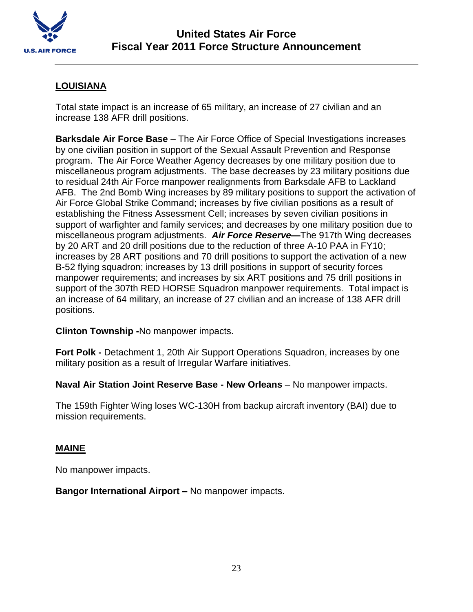

# **LOUISIANA**

Total state impact is an increase of 65 military, an increase of 27 civilian and an increase 138 AFR drill positions.

**Barksdale Air Force Base** – The Air Force Office of Special Investigations increases by one civilian position in support of the Sexual Assault Prevention and Response program. The Air Force Weather Agency decreases by one military position due to miscellaneous program adjustments. The base decreases by 23 military positions due to residual 24th Air Force manpower realignments from Barksdale AFB to Lackland AFB. The 2nd Bomb Wing increases by 89 military positions to support the activation of Air Force Global Strike Command; increases by five civilian positions as a result of establishing the Fitness Assessment Cell; increases by seven civilian positions in support of warfighter and family services; and decreases by one military position due to miscellaneous program adjustments. *Air Force Reserve***—**The 917th Wing decreases by 20 ART and 20 drill positions due to the reduction of three A-10 PAA in FY10; increases by 28 ART positions and 70 drill positions to support the activation of a new B-52 flying squadron; increases by 13 drill positions in support of security forces manpower requirements; and increases by six ART positions and 75 drill positions in support of the 307th RED HORSE Squadron manpower requirements. Total impact is an increase of 64 military, an increase of 27 civilian and an increase of 138 AFR drill positions.

## **Clinton Township -**No manpower impacts.

**Fort Polk -** Detachment 1, 20th Air Support Operations Squadron, increases by one military position as a result of Irregular Warfare initiatives.

**Naval Air Station Joint Reserve Base - New Orleans** – No manpower impacts.

The 159th Fighter Wing loses WC-130H from backup aircraft inventory (BAI) due to mission requirements.

## **MAINE**

No manpower impacts.

**Bangor International Airport –** No manpower impacts.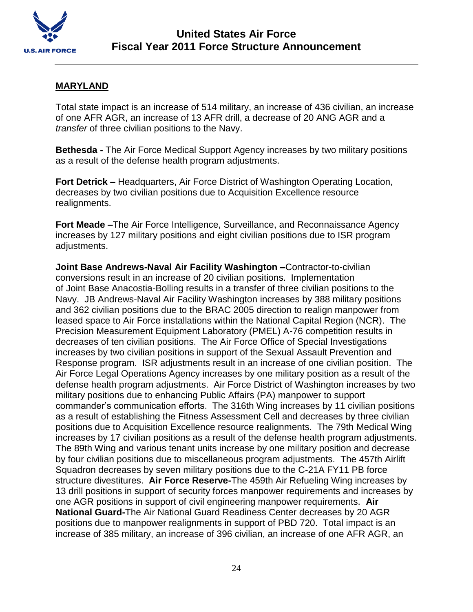

### **MARYLAND**

Total state impact is an increase of 514 military, an increase of 436 civilian, an increase of one AFR AGR, an increase of 13 AFR drill, a decrease of 20 ANG AGR and a *transfer* of three civilian positions to the Navy.

**Bethesda -** The Air Force Medical Support Agency increases by two military positions as a result of the defense health program adjustments.

**Fort Detrick –** Headquarters, Air Force District of Washington Operating Location, decreases by two civilian positions due to Acquisition Excellence resource realignments.

**Fort Meade –**The Air Force Intelligence, Surveillance, and Reconnaissance Agency increases by 127 military positions and eight civilian positions due to ISR program adjustments.

**Joint Base Andrews-Naval Air Facility Washington –**Contractor-to-civilian conversions result in an increase of 20 civilian positions. Implementation of Joint Base Anacostia-Bolling results in a transfer of three civilian positions to the Navy. JB Andrews-Naval Air Facility Washington increases by 388 military positions and 362 civilian positions due to the BRAC 2005 direction to realign manpower from leased space to Air Force installations within the National Capital Region (NCR). The Precision Measurement Equipment Laboratory (PMEL) A-76 competition results in decreases of ten civilian positions. The Air Force Office of Special Investigations increases by two civilian positions in support of the Sexual Assault Prevention and Response program. ISR adjustments result in an increase of one civilian position. The Air Force Legal Operations Agency increases by one military position as a result of the defense health program adjustments. Air Force District of Washington increases by two military positions due to enhancing Public Affairs (PA) manpower to support commander's communication efforts. The 316th Wing increases by 11 civilian positions as a result of establishing the Fitness Assessment Cell and decreases by three civilian positions due to Acquisition Excellence resource realignments. The 79th Medical Wing increases by 17 civilian positions as a result of the defense health program adjustments. The 89th Wing and various tenant units increase by one military position and decrease by four civilian positions due to miscellaneous program adjustments. The 457th Airlift Squadron decreases by seven military positions due to the C-21A FY11 PB force structure divestitures. **Air Force Reserve-**The 459th Air Refueling Wing increases by 13 drill positions in support of security forces manpower requirements and increases by one AGR positions in support of civil engineering manpower requirements. **Air National Guard-**The Air National Guard Readiness Center decreases by 20 AGR positions due to manpower realignments in support of PBD 720. Total impact is an increase of 385 military, an increase of 396 civilian, an increase of one AFR AGR, an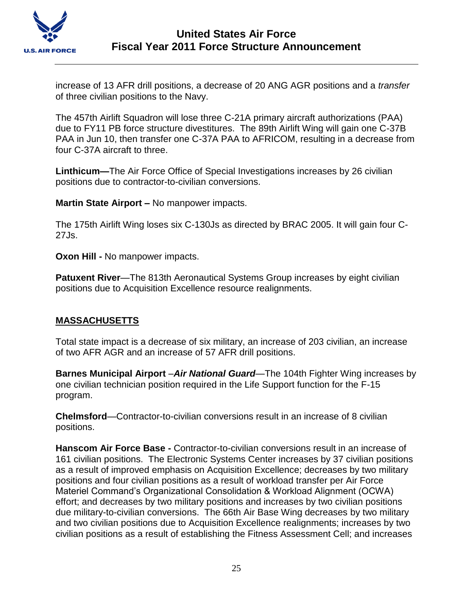

increase of 13 AFR drill positions, a decrease of 20 ANG AGR positions and a *transfer* of three civilian positions to the Navy.

The 457th Airlift Squadron will lose three C-21A primary aircraft authorizations (PAA) due to FY11 PB force structure divestitures. The 89th Airlift Wing will gain one C-37B PAA in Jun 10, then transfer one C-37A PAA to AFRICOM, resulting in a decrease from four C-37A aircraft to three.

**Linthicum—**The Air Force Office of Special Investigations increases by 26 civilian positions due to contractor-to-civilian conversions.

**Martin State Airport –** No manpower impacts.

The 175th Airlift Wing loses six C-130Js as directed by BRAC 2005. It will gain four C-27Js.

**Oxon Hill -** No manpower impacts.

**Patuxent River—The 813th Aeronautical Systems Group increases by eight civilian** positions due to Acquisition Excellence resource realignments.

# **MASSACHUSETTS**

Total state impact is a decrease of six military, an increase of 203 civilian, an increase of two AFR AGR and an increase of 57 AFR drill positions.

**Barnes Municipal Airport** –*Air National Guard*—The 104th Fighter Wing increases by one civilian technician position required in the Life Support function for the F-15 program.

**Chelmsford**—Contractor-to-civilian conversions result in an increase of 8 civilian positions.

**Hanscom Air Force Base -** Contractor-to-civilian conversions result in an increase of 161 civilian positions. The Electronic Systems Center increases by 37 civilian positions as a result of improved emphasis on Acquisition Excellence; decreases by two military positions and four civilian positions as a result of workload transfer per Air Force Materiel Command's Organizational Consolidation & Workload Alignment (OCWA) effort; and decreases by two military positions and increases by two civilian positions due military-to-civilian conversions. The 66th Air Base Wing decreases by two military and two civilian positions due to Acquisition Excellence realignments; increases by two civilian positions as a result of establishing the Fitness Assessment Cell; and increases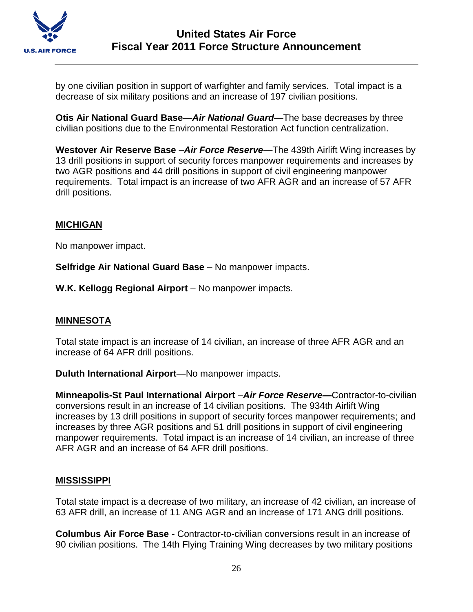

by one civilian position in support of warfighter and family services. Total impact is a decrease of six military positions and an increase of 197 civilian positions.

**Otis Air National Guard Base**—*Air National Guard*—The base decreases by three civilian positions due to the Environmental Restoration Act function centralization.

**Westover Air Reserve Base** –*Air Force Reserve*—The 439th Airlift Wing increases by 13 drill positions in support of security forces manpower requirements and increases by two AGR positions and 44 drill positions in support of civil engineering manpower requirements. Total impact is an increase of two AFR AGR and an increase of 57 AFR drill positions.

### **MICHIGAN**

No manpower impact.

**Selfridge Air National Guard Base** – No manpower impacts.

**W.K. Kellogg Regional Airport** – No manpower impacts.

#### **MINNESOTA**

Total state impact is an increase of 14 civilian, an increase of three AFR AGR and an increase of 64 AFR drill positions.

**Duluth International Airport**—No manpower impacts.

**Minneapolis-St Paul International Airport** –*Air Force Reserve—*Contractor-to-civilian conversions result in an increase of 14 civilian positions. The 934th Airlift Wing increases by 13 drill positions in support of security forces manpower requirements; and increases by three AGR positions and 51 drill positions in support of civil engineering manpower requirements. Total impact is an increase of 14 civilian, an increase of three AFR AGR and an increase of 64 AFR drill positions.

#### **MISSISSIPPI**

Total state impact is a decrease of two military, an increase of 42 civilian, an increase of 63 AFR drill, an increase of 11 ANG AGR and an increase of 171 ANG drill positions.

**Columbus Air Force Base -** Contractor-to-civilian conversions result in an increase of 90 civilian positions. The 14th Flying Training Wing decreases by two military positions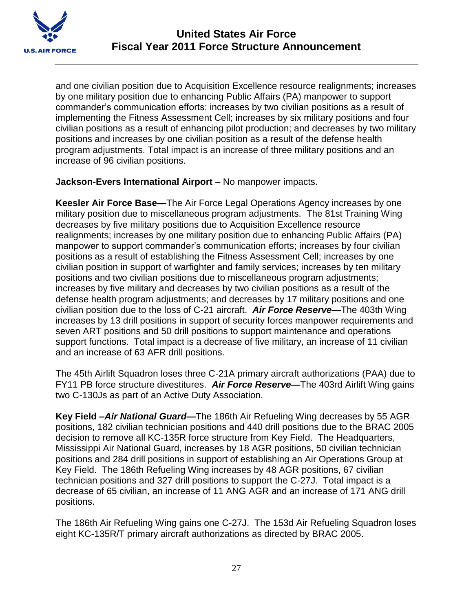

and one civilian position due to Acquisition Excellence resource realignments; increases by one military position due to enhancing Public Affairs (PA) manpower to support commander's communication efforts; increases by two civilian positions as a result of implementing the Fitness Assessment Cell; increases by six military positions and four civilian positions as a result of enhancing pilot production; and decreases by two military positions and increases by one civilian position as a result of the defense health program adjustments. Total impact is an increase of three military positions and an increase of 96 civilian positions.

**Jackson-Evers International Airport** – No manpower impacts.

**Keesler Air Force Base—**The Air Force Legal Operations Agency increases by one military position due to miscellaneous program adjustments. The 81st Training Wing decreases by five military positions due to Acquisition Excellence resource realignments; increases by one military position due to enhancing Public Affairs (PA) manpower to support commander's communication efforts; increases by four civilian positions as a result of establishing the Fitness Assessment Cell; increases by one civilian position in support of warfighter and family services; increases by ten military positions and two civilian positions due to miscellaneous program adjustments; increases by five military and decreases by two civilian positions as a result of the defense health program adjustments; and decreases by 17 military positions and one civilian position due to the loss of C-21 aircraft. *Air Force Reserve***—**The 403th Wing increases by 13 drill positions in support of security forces manpower requirements and seven ART positions and 50 drill positions to support maintenance and operations support functions. Total impact is a decrease of five military, an increase of 11 civilian and an increase of 63 AFR drill positions.

The 45th Airlift Squadron loses three C-21A primary aircraft authorizations (PAA) due to FY11 PB force structure divestitures. *Air Force Reserve***—**The 403rd Airlift Wing gains two C-130Js as part of an Active Duty Association.

**Key Field –***Air National Guard***—**The 186th Air Refueling Wing decreases by 55 AGR positions, 182 civilian technician positions and 440 drill positions due to the BRAC 2005 decision to remove all KC-135R force structure from Key Field. The Headquarters, Mississippi Air National Guard, increases by 18 AGR positions, 50 civilian technician positions and 284 drill positions in support of establishing an Air Operations Group at Key Field. The 186th Refueling Wing increases by 48 AGR positions, 67 civilian technician positions and 327 drill positions to support the C-27J. Total impact is a decrease of 65 civilian, an increase of 11 ANG AGR and an increase of 171 ANG drill positions.

The 186th Air Refueling Wing gains one C-27J. The 153d Air Refueling Squadron loses eight KC-135R/T primary aircraft authorizations as directed by BRAC 2005.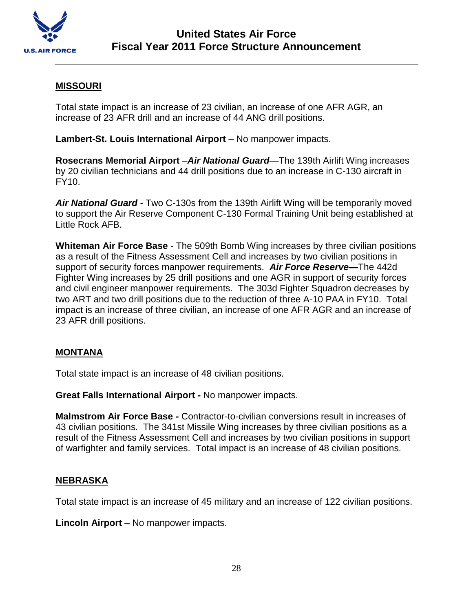

## **MISSOURI**

Total state impact is an increase of 23 civilian, an increase of one AFR AGR, an increase of 23 AFR drill and an increase of 44 ANG drill positions.

**Lambert-St. Louis International Airport** – No manpower impacts.

**Rosecrans Memorial Airport** –*Air National Guard*—The 139th Airlift Wing increases by 20 civilian technicians and 44 drill positions due to an increase in C-130 aircraft in FY10.

*Air National Guard* - Two C-130s from the 139th Airlift Wing will be temporarily moved to support the Air Reserve Component C-130 Formal Training Unit being established at Little Rock AFB.

**Whiteman Air Force Base** - The 509th Bomb Wing increases by three civilian positions as a result of the Fitness Assessment Cell and increases by two civilian positions in support of security forces manpower requirements. *Air Force Reserve***—**The 442d Fighter Wing increases by 25 drill positions and one AGR in support of security forces and civil engineer manpower requirements. The 303d Fighter Squadron decreases by two ART and two drill positions due to the reduction of three A-10 PAA in FY10. Total impact is an increase of three civilian, an increase of one AFR AGR and an increase of 23 AFR drill positions.

#### **MONTANA**

Total state impact is an increase of 48 civilian positions.

**Great Falls International Airport -** No manpower impacts.

**Malmstrom Air Force Base -** Contractor-to-civilian conversions result in increases of 43 civilian positions. The 341st Missile Wing increases by three civilian positions as a result of the Fitness Assessment Cell and increases by two civilian positions in support of warfighter and family services. Total impact is an increase of 48 civilian positions.

#### **NEBRASKA**

Total state impact is an increase of 45 military and an increase of 122 civilian positions.

**Lincoln Airport** – No manpower impacts.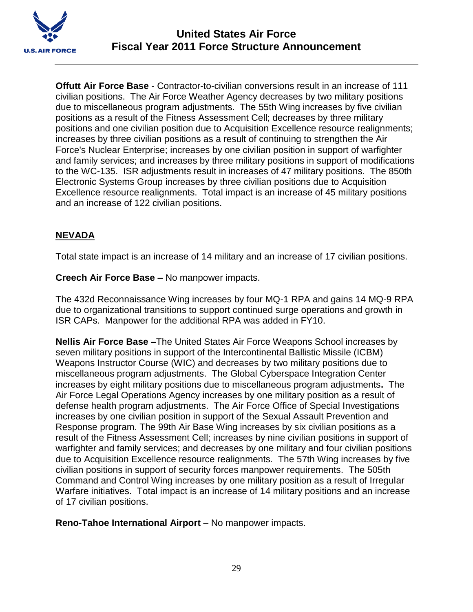

**Offutt Air Force Base** - Contractor-to-civilian conversions result in an increase of 111 civilian positions. The Air Force Weather Agency decreases by two military positions due to miscellaneous program adjustments. The 55th Wing increases by five civilian positions as a result of the Fitness Assessment Cell; decreases by three military positions and one civilian position due to Acquisition Excellence resource realignments; increases by three civilian positions as a result of continuing to strengthen the Air Force's Nuclear Enterprise; increases by one civilian position in support of warfighter and family services; and increases by three military positions in support of modifications to the WC-135. ISR adjustments result in increases of 47 military positions. The 850th Electronic Systems Group increases by three civilian positions due to Acquisition Excellence resource realignments. Total impact is an increase of 45 military positions and an increase of 122 civilian positions.

# **NEVADA**

Total state impact is an increase of 14 military and an increase of 17 civilian positions.

### **Creech Air Force Base –** No manpower impacts.

The 432d Reconnaissance Wing increases by four MQ-1 RPA and gains 14 MQ-9 RPA due to organizational transitions to support continued surge operations and growth in ISR CAPs. Manpower for the additional RPA was added in FY10.

**Nellis Air Force Base –**The United States Air Force Weapons School increases by seven military positions in support of the Intercontinental Ballistic Missile (ICBM) Weapons Instructor Course (WIC) and decreases by two military positions due to miscellaneous program adjustments.The Global Cyberspace Integration Center increases by eight military positions due to miscellaneous program adjustments**.** The Air Force Legal Operations Agency increases by one military position as a result of defense health program adjustments. The Air Force Office of Special Investigations increases by one civilian position in support of the Sexual Assault Prevention and Response program. The 99th Air Base Wing increases by six civilian positions as a result of the Fitness Assessment Cell; increases by nine civilian positions in support of warfighter and family services; and decreases by one military and four civilian positions due to Acquisition Excellence resource realignments. The 57th Wing increases by five civilian positions in support of security forces manpower requirements. The 505th Command and Control Wing increases by one military position as a result of Irregular Warfare initiatives. Total impact is an increase of 14 military positions and an increase of 17 civilian positions.

**Reno-Tahoe International Airport** – No manpower impacts.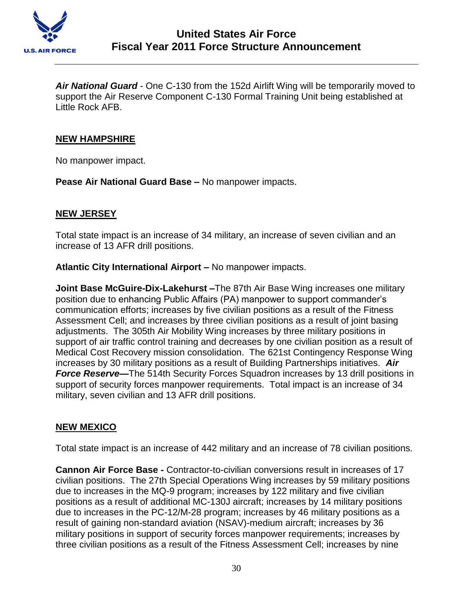

*Air National Guard* - One C-130 from the 152d Airlift Wing will be temporarily moved to support the Air Reserve Component C-130 Formal Training Unit being established at Little Rock AFB.

### **NEW HAMPSHIRE**

No manpower impact.

**Pease Air National Guard Base –** No manpower impacts.

### **NEW JERSEY**

Total state impact is an increase of 34 military, an increase of seven civilian and an increase of 13 AFR drill positions.

**Atlantic City International Airport –** No manpower impacts.

**Joint Base McGuire-Dix-Lakehurst –**The 87th Air Base Wing increases one military position due to enhancing Public Affairs (PA) manpower to support commander's communication efforts; increases by five civilian positions as a result of the Fitness Assessment Cell; and increases by three civilian positions as a result of joint basing adjustments. The 305th Air Mobility Wing increases by three military positions in support of air traffic control training and decreases by one civilian position as a result of Medical Cost Recovery mission consolidation. The 621st Contingency Response Wing increases by 30 military positions as a result of Building Partnerships initiatives. *Air*  **Force Reserve–** The 514th Security Forces Squadron increases by 13 drill positions in support of security forces manpower requirements. Total impact is an increase of 34 military, seven civilian and 13 AFR drill positions.

## **NEW MEXICO**

Total state impact is an increase of 442 military and an increase of 78 civilian positions.

**Cannon Air Force Base -** Contractor-to-civilian conversions result in increases of 17 civilian positions. The 27th Special Operations Wing increases by 59 military positions due to increases in the MQ-9 program; increases by 122 military and five civilian positions as a result of additional MC-130J aircraft; increases by 14 military positions due to increases in the PC-12/M-28 program; increases by 46 military positions as a result of gaining non-standard aviation (NSAV)-medium aircraft; increases by 36 military positions in support of security forces manpower requirements; increases by three civilian positions as a result of the Fitness Assessment Cell; increases by nine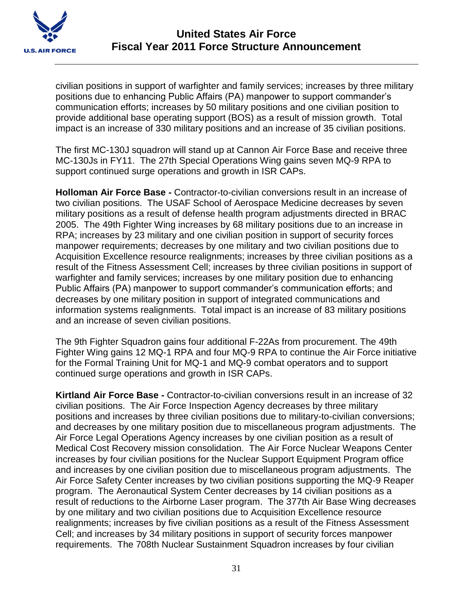

civilian positions in support of warfighter and family services; increases by three military positions due to enhancing Public Affairs (PA) manpower to support commander's communication efforts; increases by 50 military positions and one civilian position to provide additional base operating support (BOS) as a result of mission growth. Total impact is an increase of 330 military positions and an increase of 35 civilian positions.

The first MC-130J squadron will stand up at Cannon Air Force Base and receive three MC-130Js in FY11. The 27th Special Operations Wing gains seven MQ-9 RPA to support continued surge operations and growth in ISR CAPs.

**Holloman Air Force Base -** Contractor-to-civilian conversions result in an increase of two civilian positions. The USAF School of Aerospace Medicine decreases by seven military positions as a result of defense health program adjustments directed in BRAC 2005. The 49th Fighter Wing increases by 68 military positions due to an increase in RPA; increases by 23 military and one civilian position in support of security forces manpower requirements; decreases by one military and two civilian positions due to Acquisition Excellence resource realignments; increases by three civilian positions as a result of the Fitness Assessment Cell; increases by three civilian positions in support of warfighter and family services; increases by one military position due to enhancing Public Affairs (PA) manpower to support commander's communication efforts; and decreases by one military position in support of integrated communications and information systems realignments. Total impact is an increase of 83 military positions and an increase of seven civilian positions.

The 9th Fighter Squadron gains four additional F-22As from procurement. The 49th Fighter Wing gains 12 MQ-1 RPA and four MQ-9 RPA to continue the Air Force initiative for the Formal Training Unit for MQ-1 and MQ-9 combat operators and to support continued surge operations and growth in ISR CAPs.

**Kirtland Air Force Base -** Contractor-to-civilian conversions result in an increase of 32 civilian positions. The Air Force Inspection Agency decreases by three military positions and increases by three civilian positions due to military-to-civilian conversions; and decreases by one military position due to miscellaneous program adjustments. The Air Force Legal Operations Agency increases by one civilian position as a result of Medical Cost Recovery mission consolidation. The Air Force Nuclear Weapons Center increases by four civilian positions for the Nuclear Support Equipment Program office and increases by one civilian position due to miscellaneous program adjustments. The Air Force Safety Center increases by two civilian positions supporting the MQ-9 Reaper program. The Aeronautical System Center decreases by 14 civilian positions as a result of reductions to the Airborne Laser program. The 377th Air Base Wing decreases by one military and two civilian positions due to Acquisition Excellence resource realignments; increases by five civilian positions as a result of the Fitness Assessment Cell; and increases by 34 military positions in support of security forces manpower requirements. The 708th Nuclear Sustainment Squadron increases by four civilian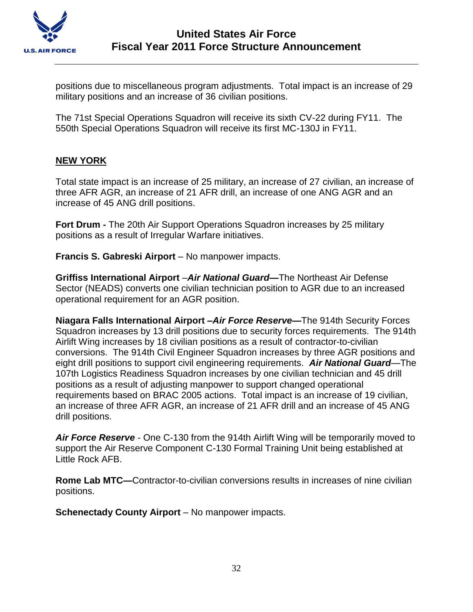

positions due to miscellaneous program adjustments. Total impact is an increase of 29 military positions and an increase of 36 civilian positions.

The 71st Special Operations Squadron will receive its sixth CV-22 during FY11. The 550th Special Operations Squadron will receive its first MC-130J in FY11.

## **NEW YORK**

Total state impact is an increase of 25 military, an increase of 27 civilian, an increase of three AFR AGR, an increase of 21 AFR drill, an increase of one ANG AGR and an increase of 45 ANG drill positions.

**Fort Drum -** The 20th Air Support Operations Squadron increases by 25 military positions as a result of Irregular Warfare initiatives.

**Francis S. Gabreski Airport** – No manpower impacts.

**Griffiss International Airport** –*Air National Guard—*The Northeast Air Defense Sector (NEADS) converts one civilian technician position to AGR due to an increased operational requirement for an AGR position.

**Niagara Falls International Airport –***Air Force Reserve***—**The 914th Security Forces Squadron increases by 13 drill positions due to security forces requirements. The 914th Airlift Wing increases by 18 civilian positions as a result of contractor-to-civilian conversions. The 914th Civil Engineer Squadron increases by three AGR positions and eight drill positions to support civil engineering requirements. *Air National Guard*—The 107th Logistics Readiness Squadron increases by one civilian technician and 45 drill positions as a result of adjusting manpower to support changed operational requirements based on BRAC 2005 actions. Total impact is an increase of 19 civilian, an increase of three AFR AGR, an increase of 21 AFR drill and an increase of 45 ANG drill positions.

*Air Force Reserve* - One C-130 from the 914th Airlift Wing will be temporarily moved to support the Air Reserve Component C-130 Formal Training Unit being established at Little Rock AFB.

**Rome Lab MTC—**Contractor-to-civilian conversions results in increases of nine civilian positions.

**Schenectady County Airport** – No manpower impacts.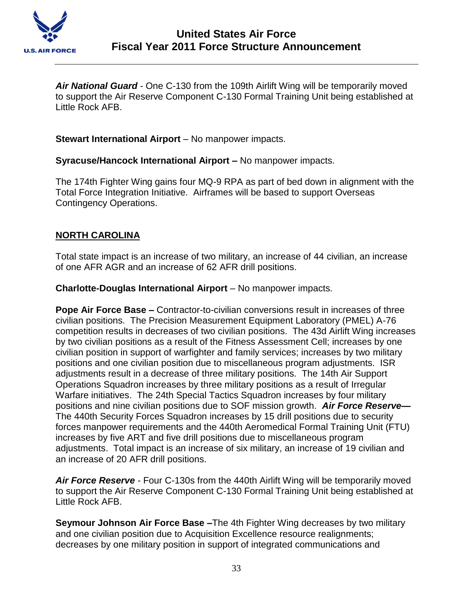

*Air National Guard* - One C-130 from the 109th Airlift Wing will be temporarily moved to support the Air Reserve Component C-130 Formal Training Unit being established at Little Rock AFB.

**Stewart International Airport** – No manpower impacts.

**Syracuse/Hancock International Airport –** No manpower impacts.

The 174th Fighter Wing gains four MQ-9 RPA as part of bed down in alignment with the Total Force Integration Initiative. Airframes will be based to support Overseas Contingency Operations.

### **NORTH CAROLINA**

Total state impact is an increase of two military, an increase of 44 civilian, an increase of one AFR AGR and an increase of 62 AFR drill positions.

**Charlotte-Douglas International Airport** – No manpower impacts.

**Pope Air Force Base –** Contractor-to-civilian conversions result in increases of three civilian positions. The Precision Measurement Equipment Laboratory (PMEL) A-76 competition results in decreases of two civilian positions. The 43d Airlift Wing increases by two civilian positions as a result of the Fitness Assessment Cell; increases by one civilian position in support of warfighter and family services; increases by two military positions and one civilian position due to miscellaneous program adjustments. ISR adjustments result in a decrease of three military positions. The 14th Air Support Operations Squadron increases by three military positions as a result of Irregular Warfare initiatives. The 24th Special Tactics Squadron increases by four military positions and nine civilian positions due to SOF mission growth. *Air Force Reserve—* The 440th Security Forces Squadron increases by 15 drill positions due to security forces manpower requirements and the 440th Aeromedical Formal Training Unit (FTU) increases by five ART and five drill positions due to miscellaneous program adjustments. Total impact is an increase of six military, an increase of 19 civilian and an increase of 20 AFR drill positions.

*Air Force Reserve* - Four C-130s from the 440th Airlift Wing will be temporarily moved to support the Air Reserve Component C-130 Formal Training Unit being established at Little Rock AFB.

**Seymour Johnson Air Force Base –**The 4th Fighter Wing decreases by two military and one civilian position due to Acquisition Excellence resource realignments; decreases by one military position in support of integrated communications and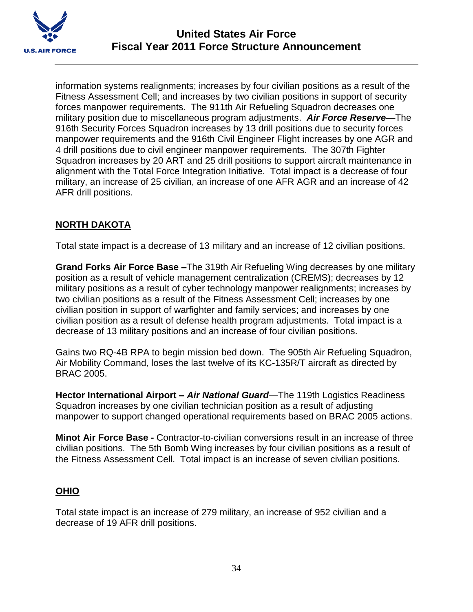

information systems realignments; increases by four civilian positions as a result of the Fitness Assessment Cell; and increases by two civilian positions in support of security forces manpower requirements. The 911th Air Refueling Squadron decreases one military position due to miscellaneous program adjustments. *Air Force Reserve*—The 916th Security Forces Squadron increases by 13 drill positions due to security forces manpower requirements and the 916th Civil Engineer Flight increases by one AGR and 4 drill positions due to civil engineer manpower requirements. The 307th Fighter Squadron increases by 20 ART and 25 drill positions to support aircraft maintenance in alignment with the Total Force Integration Initiative. Total impact is a decrease of four military, an increase of 25 civilian, an increase of one AFR AGR and an increase of 42 AFR drill positions.

## **NORTH DAKOTA**

Total state impact is a decrease of 13 military and an increase of 12 civilian positions.

**Grand Forks Air Force Base –**The 319th Air Refueling Wing decreases by one military position as a result of vehicle management centralization (CREMS); decreases by 12 military positions as a result of cyber technology manpower realignments; increases by two civilian positions as a result of the Fitness Assessment Cell; increases by one civilian position in support of warfighter and family services; and increases by one civilian position as a result of defense health program adjustments. Total impact is a decrease of 13 military positions and an increase of four civilian positions.

Gains two RQ-4B RPA to begin mission bed down. The 905th Air Refueling Squadron, Air Mobility Command, loses the last twelve of its KC-135R/T aircraft as directed by BRAC 2005.

**Hector International Airport –** *Air National Guard*—The 119th Logistics Readiness Squadron increases by one civilian technician position as a result of adjusting manpower to support changed operational requirements based on BRAC 2005 actions.

**Minot Air Force Base -** Contractor-to-civilian conversions result in an increase of three civilian positions. The 5th Bomb Wing increases by four civilian positions as a result of the Fitness Assessment Cell. Total impact is an increase of seven civilian positions.

## **OHIO**

Total state impact is an increase of 279 military, an increase of 952 civilian and a decrease of 19 AFR drill positions.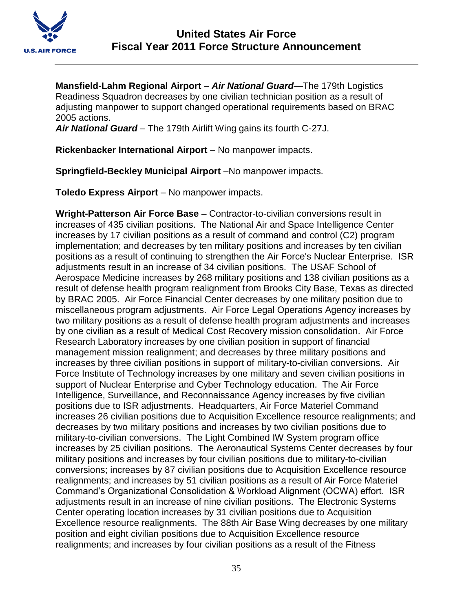

**Mansfield-Lahm Regional Airport** – *Air National Guard*—The 179th Logistics Readiness Squadron decreases by one civilian technician position as a result of adjusting manpower to support changed operational requirements based on BRAC 2005 actions.

*Air National Guard* – The 179th Airlift Wing gains its fourth C-27J.

**Rickenbacker International Airport – No manpower impacts.** 

**Springfield-Beckley Municipal Airport** –No manpower impacts.

**Toledo Express Airport** – No manpower impacts.

**Wright-Patterson Air Force Base –** Contractor-to-civilian conversions result in increases of 435 civilian positions. The National Air and Space Intelligence Center increases by 17 civilian positions as a result of command and control (C2) program implementation; and decreases by ten military positions and increases by ten civilian positions as a result of continuing to strengthen the Air Force's Nuclear Enterprise. ISR adjustments result in an increase of 34 civilian positions. The USAF School of Aerospace Medicine increases by 268 military positions and 138 civilian positions as a result of defense health program realignment from Brooks City Base, Texas as directed by BRAC 2005. Air Force Financial Center decreases by one military position due to miscellaneous program adjustments. Air Force Legal Operations Agency increases by two military positions as a result of defense health program adjustments and increases by one civilian as a result of Medical Cost Recovery mission consolidation. Air Force Research Laboratory increases by one civilian position in support of financial management mission realignment; and decreases by three military positions and increases by three civilian positions in support of military-to-civilian conversions. Air Force Institute of Technology increases by one military and seven civilian positions in support of Nuclear Enterprise and Cyber Technology education. The Air Force Intelligence, Surveillance, and Reconnaissance Agency increases by five civilian positions due to ISR adjustments. Headquarters, Air Force Materiel Command increases 26 civilian positions due to Acquisition Excellence resource realignments; and decreases by two military positions and increases by two civilian positions due to military-to-civilian conversions. The Light Combined IW System program office increases by 25 civilian positions. The Aeronautical Systems Center decreases by four military positions and increases by four civilian positions due to military-to-civilian conversions; increases by 87 civilian positions due to Acquisition Excellence resource realignments; and increases by 51 civilian positions as a result of Air Force Materiel Command's Organizational Consolidation & Workload Alignment (OCWA) effort. ISR adjustments result in an increase of nine civilian positions. The Electronic Systems Center operating location increases by 31 civilian positions due to Acquisition Excellence resource realignments. The 88th Air Base Wing decreases by one military position and eight civilian positions due to Acquisition Excellence resource realignments; and increases by four civilian positions as a result of the Fitness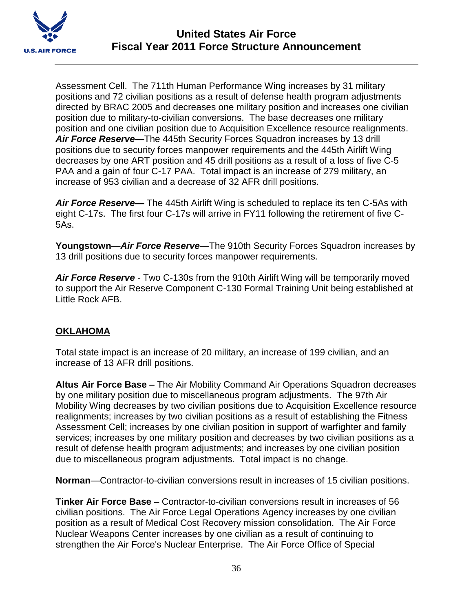

Assessment Cell. The 711th Human Performance Wing increases by 31 military positions and 72 civilian positions as a result of defense health program adjustments directed by BRAC 2005 and decreases one military position and increases one civilian position due to military-to-civilian conversions. The base decreases one military position and one civilian position due to Acquisition Excellence resource realignments. *Air Force Reserve***—**The 445th Security Forces Squadron increases by 13 drill positions due to security forces manpower requirements and the 445th Airlift Wing decreases by one ART position and 45 drill positions as a result of a loss of five C-5 PAA and a gain of four C-17 PAA. Total impact is an increase of 279 military, an increase of 953 civilian and a decrease of 32 AFR drill positions.

*Air Force Reserve***—** The 445th Airlift Wing is scheduled to replace its ten C-5As with eight C-17s. The first four C-17s will arrive in FY11 following the retirement of five C-5As.

**Youngstown**—*Air Force Reserve*—The 910th Security Forces Squadron increases by 13 drill positions due to security forces manpower requirements.

*Air Force Reserve* - Two C-130s from the 910th Airlift Wing will be temporarily moved to support the Air Reserve Component C-130 Formal Training Unit being established at Little Rock AFB.

# **OKLAHOMA**

Total state impact is an increase of 20 military, an increase of 199 civilian, and an increase of 13 AFR drill positions.

**Altus Air Force Base –** The Air Mobility Command Air Operations Squadron decreases by one military position due to miscellaneous program adjustments. The 97th Air Mobility Wing decreases by two civilian positions due to Acquisition Excellence resource realignments; increases by two civilian positions as a result of establishing the Fitness Assessment Cell; increases by one civilian position in support of warfighter and family services; increases by one military position and decreases by two civilian positions as a result of defense health program adjustments; and increases by one civilian position due to miscellaneous program adjustments. Total impact is no change.

**Norman**—Contractor-to-civilian conversions result in increases of 15 civilian positions.

**Tinker Air Force Base –** Contractor-to-civilian conversions result in increases of 56 civilian positions. The Air Force Legal Operations Agency increases by one civilian position as a result of Medical Cost Recovery mission consolidation. The Air Force Nuclear Weapons Center increases by one civilian as a result of continuing to strengthen the Air Force's Nuclear Enterprise. The Air Force Office of Special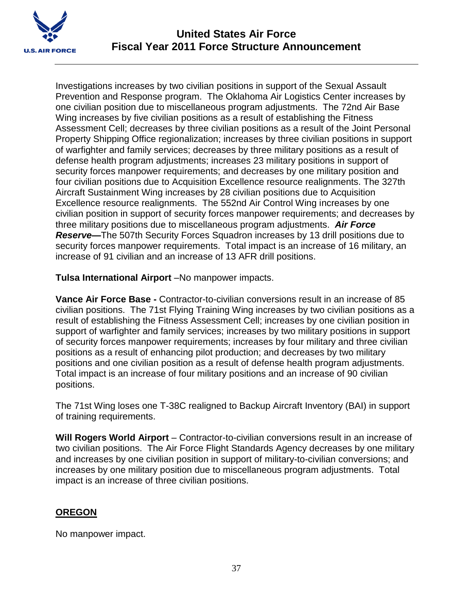

Investigations increases by two civilian positions in support of the Sexual Assault Prevention and Response program. The Oklahoma Air Logistics Center increases by one civilian position due to miscellaneous program adjustments. The 72nd Air Base Wing increases by five civilian positions as a result of establishing the Fitness Assessment Cell; decreases by three civilian positions as a result of the Joint Personal Property Shipping Office regionalization; increases by three civilian positions in support of warfighter and family services; decreases by three military positions as a result of defense health program adjustments; increases 23 military positions in support of security forces manpower requirements; and decreases by one military position and four civilian positions due to Acquisition Excellence resource realignments. The 327th Aircraft Sustainment Wing increases by 28 civilian positions due to Acquisition Excellence resource realignments. The 552nd Air Control Wing increases by one civilian position in support of security forces manpower requirements; and decreases by three military positions due to miscellaneous program adjustments. *Air Force Reserve***—**The 507th Security Forces Squadron increases by 13 drill positions due to security forces manpower requirements. Total impact is an increase of 16 military, an increase of 91 civilian and an increase of 13 AFR drill positions.

**Tulsa International Airport** –No manpower impacts.

**Vance Air Force Base -** Contractor-to-civilian conversions result in an increase of 85 civilian positions. The 71st Flying Training Wing increases by two civilian positions as a result of establishing the Fitness Assessment Cell; increases by one civilian position in support of warfighter and family services; increases by two military positions in support of security forces manpower requirements; increases by four military and three civilian positions as a result of enhancing pilot production; and decreases by two military positions and one civilian position as a result of defense health program adjustments. Total impact is an increase of four military positions and an increase of 90 civilian positions.

The 71st Wing loses one T-38C realigned to Backup Aircraft Inventory (BAI) in support of training requirements.

**Will Rogers World Airport** – Contractor-to-civilian conversions result in an increase of two civilian positions. The Air Force Flight Standards Agency decreases by one military and increases by one civilian position in support of military-to-civilian conversions; and increases by one military position due to miscellaneous program adjustments. Total impact is an increase of three civilian positions.

# **OREGON**

No manpower impact.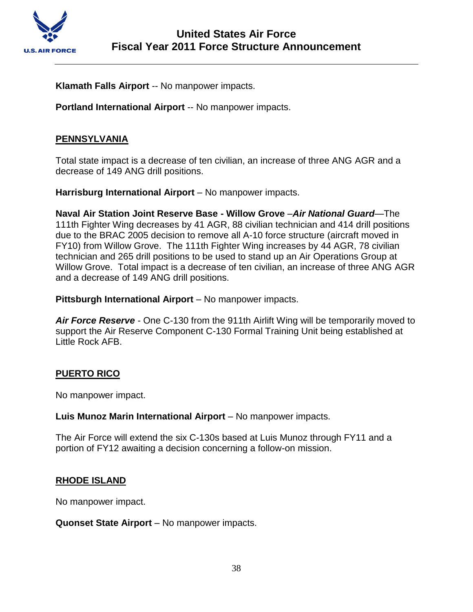

**Klamath Falls Airport** -- No manpower impacts.

**Portland International Airport** -- No manpower impacts.

## **PENNSYLVANIA**

Total state impact is a decrease of ten civilian, an increase of three ANG AGR and a decrease of 149 ANG drill positions.

**Harrisburg International Airport** – No manpower impacts.

**Naval Air Station Joint Reserve Base - Willow Grove** –*Air National Guard*—The 111th Fighter Wing decreases by 41 AGR, 88 civilian technician and 414 drill positions due to the BRAC 2005 decision to remove all A-10 force structure (aircraft moved in FY10) from Willow Grove. The 111th Fighter Wing increases by 44 AGR, 78 civilian technician and 265 drill positions to be used to stand up an Air Operations Group at Willow Grove. Total impact is a decrease of ten civilian, an increase of three ANG AGR and a decrease of 149 ANG drill positions.

**Pittsburgh International Airport** – No manpower impacts.

*Air Force Reserve* - One C-130 from the 911th Airlift Wing will be temporarily moved to support the Air Reserve Component C-130 Formal Training Unit being established at Little Rock AFB.

#### **PUERTO RICO**

No manpower impact.

**Luis Munoz Marin International Airport** – No manpower impacts.

The Air Force will extend the six C-130s based at Luis Munoz through FY11 and a portion of FY12 awaiting a decision concerning a follow-on mission.

#### **RHODE ISLAND**

No manpower impact.

**Quonset State Airport** – No manpower impacts.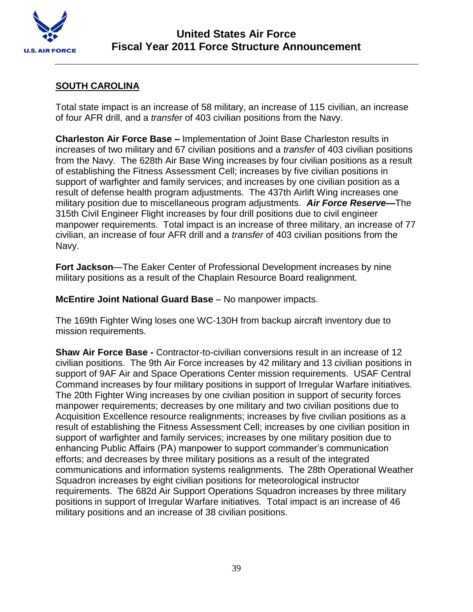

## **SOUTH CAROLINA**

Total state impact is an increase of 58 military, an increase of 115 civilian, an increase of four AFR drill, and a *transfer* of 403 civilian positions from the Navy.

**Charleston Air Force Base –** Implementation of Joint Base Charleston results in increases of two military and 67 civilian positions and a *transfer* of 403 civilian positions from the Navy. The 628th Air Base Wing increases by four civilian positions as a result of establishing the Fitness Assessment Cell; increases by five civilian positions in support of warfighter and family services; and increases by one civilian position as a result of defense health program adjustments. The 437th Airlift Wing increases one military position due to miscellaneous program adjustments. *Air Force Reserve***—**The 315th Civil Engineer Flight increases by four drill positions due to civil engineer manpower requirements. Total impact is an increase of three military, an increase of 77 civilian, an increase of four AFR drill and a *transfer* of 403 civilian positions from the Navy.

**Fort Jackson**—The Eaker Center of Professional Development increases by nine military positions as a result of the Chaplain Resource Board realignment.

**McEntire Joint National Guard Base** – No manpower impacts.

The 169th Fighter Wing loses one WC-130H from backup aircraft inventory due to mission requirements.

**Shaw Air Force Base -** Contractor-to-civilian conversions result in an increase of 12 civilian positions. The 9th Air Force increases by 42 military and 13 civilian positions in support of 9AF Air and Space Operations Center mission requirements. USAF Central Command increases by four military positions in support of Irregular Warfare initiatives. The 20th Fighter Wing increases by one civilian position in support of security forces manpower requirements; decreases by one military and two civilian positions due to Acquisition Excellence resource realignments; increases by five civilian positions as a result of establishing the Fitness Assessment Cell; increases by one civilian position in support of warfighter and family services; increases by one military position due to enhancing Public Affairs (PA) manpower to support commander's communication efforts; and decreases by three military positions as a result of the integrated communications and information systems realignments. The 28th Operational Weather Squadron increases by eight civilian positions for meteorological instructor requirements. The 682d Air Support Operations Squadron increases by three military positions in support of Irregular Warfare initiatives. Total impact is an increase of 46 military positions and an increase of 38 civilian positions.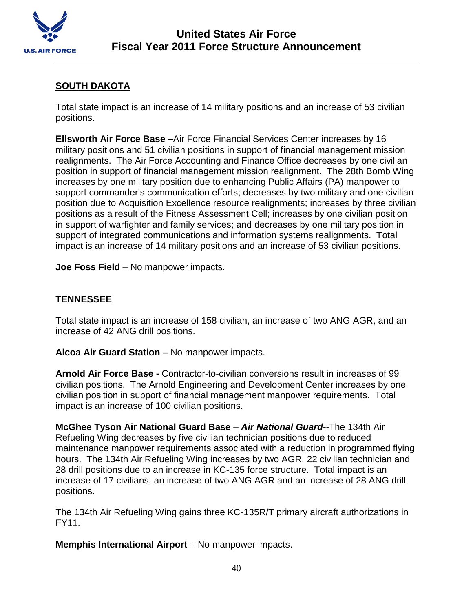

# **SOUTH DAKOTA**

Total state impact is an increase of 14 military positions and an increase of 53 civilian positions.

**Ellsworth Air Force Base –**Air Force Financial Services Center increases by 16 military positions and 51 civilian positions in support of financial management mission realignments. The Air Force Accounting and Finance Office decreases by one civilian position in support of financial management mission realignment. The 28th Bomb Wing increases by one military position due to enhancing Public Affairs (PA) manpower to support commander's communication efforts; decreases by two military and one civilian position due to Acquisition Excellence resource realignments; increases by three civilian positions as a result of the Fitness Assessment Cell; increases by one civilian position in support of warfighter and family services; and decreases by one military position in support of integrated communications and information systems realignments. Total impact is an increase of 14 military positions and an increase of 53 civilian positions.

**Joe Foss Field** – No manpower impacts.

## **TENNESSEE**

Total state impact is an increase of 158 civilian, an increase of two ANG AGR, and an increase of 42 ANG drill positions.

**Alcoa Air Guard Station –** No manpower impacts.

**Arnold Air Force Base -** Contractor-to-civilian conversions result in increases of 99 civilian positions. The Arnold Engineering and Development Center increases by one civilian position in support of financial management manpower requirements. Total impact is an increase of 100 civilian positions.

**McGhee Tyson Air National Guard Base** – *Air National Guard*--The 134th Air Refueling Wing decreases by five civilian technician positions due to reduced maintenance manpower requirements associated with a reduction in programmed flying hours. The 134th Air Refueling Wing increases by two AGR, 22 civilian technician and 28 drill positions due to an increase in KC-135 force structure. Total impact is an increase of 17 civilians, an increase of two ANG AGR and an increase of 28 ANG drill positions.

The 134th Air Refueling Wing gains three KC-135R/T primary aircraft authorizations in FY11.

**Memphis International Airport** – No manpower impacts.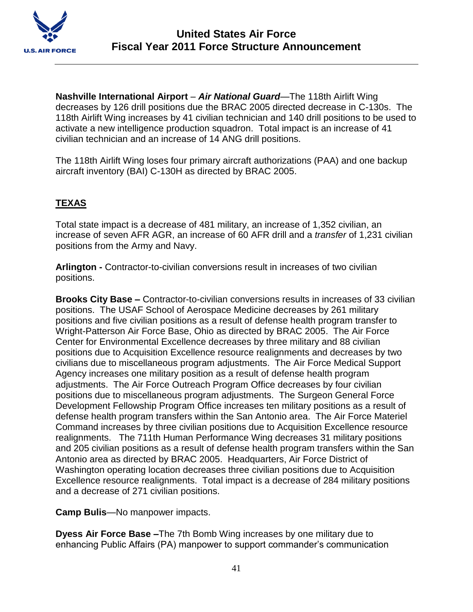

**Nashville International Airport** – *Air National Guard*—The 118th Airlift Wing decreases by 126 drill positions due the BRAC 2005 directed decrease in C-130s. The 118th Airlift Wing increases by 41 civilian technician and 140 drill positions to be used to activate a new intelligence production squadron. Total impact is an increase of 41 civilian technician and an increase of 14 ANG drill positions.

The 118th Airlift Wing loses four primary aircraft authorizations (PAA) and one backup aircraft inventory (BAI) C-130H as directed by BRAC 2005.

# **TEXAS**

Total state impact is a decrease of 481 military, an increase of 1,352 civilian, an increase of seven AFR AGR, an increase of 60 AFR drill and a *transfer* of 1,231 civilian positions from the Army and Navy.

**Arlington -** Contractor-to-civilian conversions result in increases of two civilian positions.

**Brooks City Base –** Contractor-to-civilian conversions results in increases of 33 civilian positions. The USAF School of Aerospace Medicine decreases by 261 military positions and five civilian positions as a result of defense health program transfer to Wright-Patterson Air Force Base, Ohio as directed by BRAC 2005. The Air Force Center for Environmental Excellence decreases by three military and 88 civilian positions due to Acquisition Excellence resource realignments and decreases by two civilians due to miscellaneous program adjustments. The Air Force Medical Support Agency increases one military position as a result of defense health program adjustments. The Air Force Outreach Program Office decreases by four civilian positions due to miscellaneous program adjustments. The Surgeon General Force Development Fellowship Program Office increases ten military positions as a result of defense health program transfers within the San Antonio area. The Air Force Materiel Command increases by three civilian positions due to Acquisition Excellence resource realignments. The 711th Human Performance Wing decreases 31 military positions and 205 civilian positions as a result of defense health program transfers within the San Antonio area as directed by BRAC 2005. Headquarters, Air Force District of Washington operating location decreases three civilian positions due to Acquisition Excellence resource realignments. Total impact is a decrease of 284 military positions and a decrease of 271 civilian positions.

**Camp Bulis**—No manpower impacts.

**Dyess Air Force Base –**The 7th Bomb Wing increases by one military due to enhancing Public Affairs (PA) manpower to support commander's communication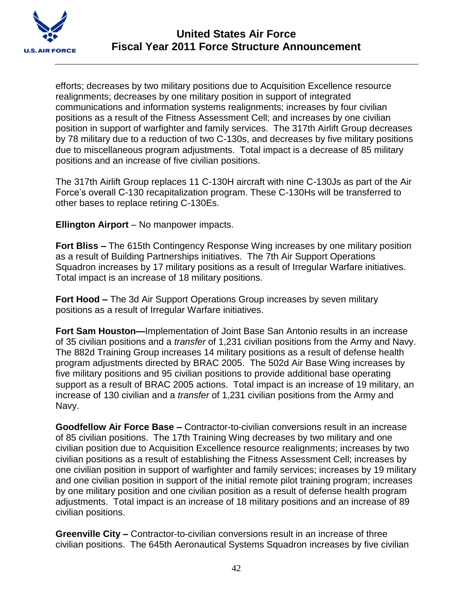

efforts; decreases by two military positions due to Acquisition Excellence resource realignments; decreases by one military position in support of integrated communications and information systems realignments; increases by four civilian positions as a result of the Fitness Assessment Cell; and increases by one civilian position in support of warfighter and family services. The 317th Airlift Group decreases by 78 military due to a reduction of two C-130s, and decreases by five military positions due to miscellaneous program adjustments. Total impact is a decrease of 85 military positions and an increase of five civilian positions.

The 317th Airlift Group replaces 11 C-130H aircraft with nine C-130Js as part of the Air Force's overall C-130 recapitalization program. These C-130Hs will be transferred to other bases to replace retiring C-130Es.

**Ellington Airport** – No manpower impacts.

**Fort Bliss –** The 615th Contingency Response Wing increases by one military position as a result of Building Partnerships initiatives. The 7th Air Support Operations Squadron increases by 17 military positions as a result of Irregular Warfare initiatives. Total impact is an increase of 18 military positions.

**Fort Hood –** The 3d Air Support Operations Group increases by seven military positions as a result of Irregular Warfare initiatives.

**Fort Sam Houston—**Implementation of Joint Base San Antonio results in an increase of 35 civilian positions and a *transfer* of 1,231 civilian positions from the Army and Navy. The 882d Training Group increases 14 military positions as a result of defense health program adjustments directed by BRAC 2005. The 502d Air Base Wing increases by five military positions and 95 civilian positions to provide additional base operating support as a result of BRAC 2005 actions. Total impact is an increase of 19 military, an increase of 130 civilian and a *transfer* of 1,231 civilian positions from the Army and Navy.

**Goodfellow Air Force Base –** Contractor-to-civilian conversions result in an increase of 85 civilian positions. The 17th Training Wing decreases by two military and one civilian position due to Acquisition Excellence resource realignments; increases by two civilian positions as a result of establishing the Fitness Assessment Cell; increases by one civilian position in support of warfighter and family services; increases by 19 military and one civilian position in support of the initial remote pilot training program; increases by one military position and one civilian position as a result of defense health program adjustments. Total impact is an increase of 18 military positions and an increase of 89 civilian positions.

**Greenville City –** Contractor-to-civilian conversions result in an increase of three civilian positions. The 645th Aeronautical Systems Squadron increases by five civilian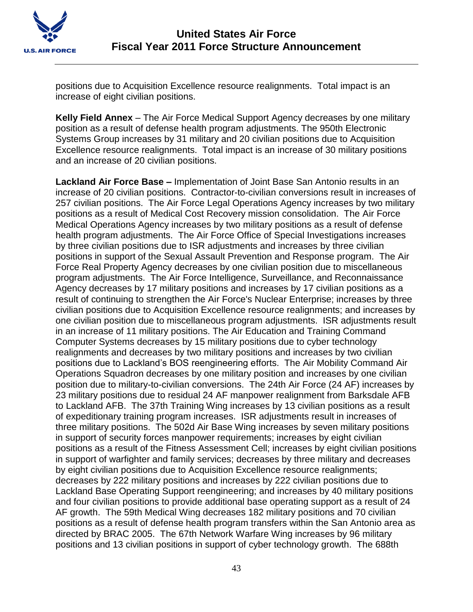

positions due to Acquisition Excellence resource realignments. Total impact is an increase of eight civilian positions.

**Kelly Field Annex** – The Air Force Medical Support Agency decreases by one military position as a result of defense health program adjustments. The 950th Electronic Systems Group increases by 31 military and 20 civilian positions due to Acquisition Excellence resource realignments. Total impact is an increase of 30 military positions and an increase of 20 civilian positions.

**Lackland Air Force Base –** Implementation of Joint Base San Antonio results in an increase of 20 civilian positions. Contractor-to-civilian conversions result in increases of 257 civilian positions. The Air Force Legal Operations Agency increases by two military positions as a result of Medical Cost Recovery mission consolidation. The Air Force Medical Operations Agency increases by two military positions as a result of defense health program adjustments. The Air Force Office of Special Investigations increases by three civilian positions due to ISR adjustments and increases by three civilian positions in support of the Sexual Assault Prevention and Response program. The Air Force Real Property Agency decreases by one civilian position due to miscellaneous program adjustments. The Air Force Intelligence, Surveillance, and Reconnaissance Agency decreases by 17 military positions and increases by 17 civilian positions as a result of continuing to strengthen the Air Force's Nuclear Enterprise; increases by three civilian positions due to Acquisition Excellence resource realignments; and increases by one civilian position due to miscellaneous program adjustments. ISR adjustments result in an increase of 11 military positions. The Air Education and Training Command Computer Systems decreases by 15 military positions due to cyber technology realignments and decreases by two military positions and increases by two civilian positions due to Lackland's BOS reengineering efforts. The Air Mobility Command Air Operations Squadron decreases by one military position and increases by one civilian position due to military-to-civilian conversions. The 24th Air Force (24 AF) increases by 23 military positions due to residual 24 AF manpower realignment from Barksdale AFB to Lackland AFB. The 37th Training Wing increases by 13 civilian positions as a result of expeditionary training program increases. ISR adjustments result in increases of three military positions. The 502d Air Base Wing increases by seven military positions in support of security forces manpower requirements; increases by eight civilian positions as a result of the Fitness Assessment Cell; increases by eight civilian positions in support of warfighter and family services; decreases by three military and decreases by eight civilian positions due to Acquisition Excellence resource realignments; decreases by 222 military positions and increases by 222 civilian positions due to Lackland Base Operating Support reengineering; and increases by 40 military positions and four civilian positions to provide additional base operating support as a result of 24 AF growth. The 59th Medical Wing decreases 182 military positions and 70 civilian positions as a result of defense health program transfers within the San Antonio area as directed by BRAC 2005. The 67th Network Warfare Wing increases by 96 military positions and 13 civilian positions in support of cyber technology growth. The 688th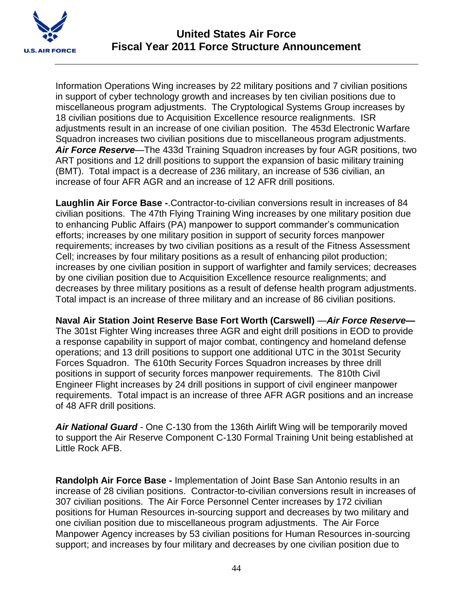

Information Operations Wing increases by 22 military positions and 7 civilian positions in support of cyber technology growth and increases by ten civilian positions due to miscellaneous program adjustments. The Cryptological Systems Group increases by 18 civilian positions due to Acquisition Excellence resource realignments. ISR adjustments result in an increase of one civilian position. The 453d Electronic Warfare Squadron increases two civilian positions due to miscellaneous program adjustments. *Air Force Reserve*—The 433d Training Squadron increases by four AGR positions, two ART positions and 12 drill positions to support the expansion of basic military training (BMT). Total impact is a decrease of 236 military, an increase of 536 civilian, an increase of four AFR AGR and an increase of 12 AFR drill positions.

**Laughlin Air Force Base -**.Contractor-to-civilian conversions result in increases of 84 civilian positions. The 47th Flying Training Wing increases by one military position due to enhancing Public Affairs (PA) manpower to support commander's communication efforts; increases by one military position in support of security forces manpower requirements; increases by two civilian positions as a result of the Fitness Assessment Cell; increases by four military positions as a result of enhancing pilot production; increases by one civilian position in support of warfighter and family services; decreases by one civilian position due to Acquisition Excellence resource realignments; and decreases by three military positions as a result of defense health program adjustments. Total impact is an increase of three military and an increase of 86 civilian positions.

**Naval Air Station Joint Reserve Base Fort Worth (Carswell)** —*Air Force Reserve—* The 301st Fighter Wing increases three AGR and eight drill positions in EOD to provide a response capability in support of major combat, contingency and homeland defense operations; and 13 drill positions to support one additional UTC in the 301st Security Forces Squadron. The 610th Security Forces Squadron increases by three drill positions in support of security forces manpower requirements. The 810th Civil Engineer Flight increases by 24 drill positions in support of civil engineer manpower requirements. Total impact is an increase of three AFR AGR positions and an increase of 48 AFR drill positions.

*Air National Guard* - One C-130 from the 136th Airlift Wing will be temporarily moved to support the Air Reserve Component C-130 Formal Training Unit being established at Little Rock AFB.

**Randolph Air Force Base -** Implementation of Joint Base San Antonio results in an increase of 28 civilian positions. Contractor-to-civilian conversions result in increases of 307 civilian positions. The Air Force Personnel Center increases by 172 civilian positions for Human Resources in-sourcing support and decreases by two military and one civilian position due to miscellaneous program adjustments. The Air Force Manpower Agency increases by 53 civilian positions for Human Resources in-sourcing support; and increases by four military and decreases by one civilian position due to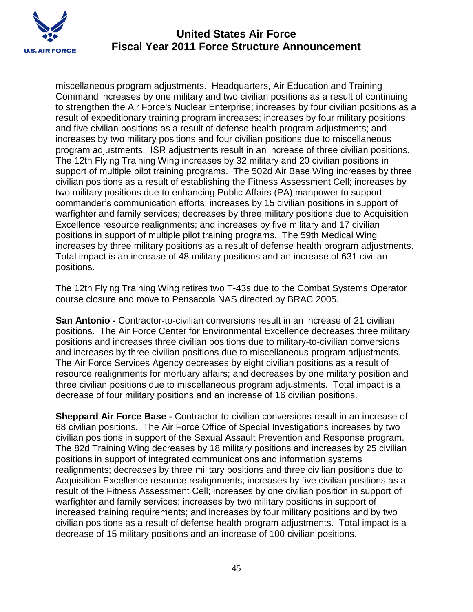

miscellaneous program adjustments. Headquarters, Air Education and Training Command increases by one military and two civilian positions as a result of continuing to strengthen the Air Force's Nuclear Enterprise; increases by four civilian positions as a result of expeditionary training program increases; increases by four military positions and five civilian positions as a result of defense health program adjustments; and increases by two military positions and four civilian positions due to miscellaneous program adjustments. ISR adjustments result in an increase of three civilian positions. The 12th Flying Training Wing increases by 32 military and 20 civilian positions in support of multiple pilot training programs. The 502d Air Base Wing increases by three civilian positions as a result of establishing the Fitness Assessment Cell; increases by two military positions due to enhancing Public Affairs (PA) manpower to support commander's communication efforts; increases by 15 civilian positions in support of warfighter and family services; decreases by three military positions due to Acquisition Excellence resource realignments; and increases by five military and 17 civilian positions in support of multiple pilot training programs. The 59th Medical Wing increases by three military positions as a result of defense health program adjustments. Total impact is an increase of 48 military positions and an increase of 631 civilian positions.

The 12th Flying Training Wing retires two T-43s due to the Combat Systems Operator course closure and move to Pensacola NAS directed by BRAC 2005.

**San Antonio -** Contractor-to-civilian conversions result in an increase of 21 civilian positions. The Air Force Center for Environmental Excellence decreases three military positions and increases three civilian positions due to military-to-civilian conversions and increases by three civilian positions due to miscellaneous program adjustments. The Air Force Services Agency decreases by eight civilian positions as a result of resource realignments for mortuary affairs; and decreases by one military position and three civilian positions due to miscellaneous program adjustments. Total impact is a decrease of four military positions and an increase of 16 civilian positions.

**Sheppard Air Force Base -** Contractor-to-civilian conversions result in an increase of 68 civilian positions. The Air Force Office of Special Investigations increases by two civilian positions in support of the Sexual Assault Prevention and Response program. The 82d Training Wing decreases by 18 military positions and increases by 25 civilian positions in support of integrated communications and information systems realignments; decreases by three military positions and three civilian positions due to Acquisition Excellence resource realignments; increases by five civilian positions as a result of the Fitness Assessment Cell; increases by one civilian position in support of warfighter and family services; increases by two military positions in support of increased training requirements; and increases by four military positions and by two civilian positions as a result of defense health program adjustments. Total impact is a decrease of 15 military positions and an increase of 100 civilian positions.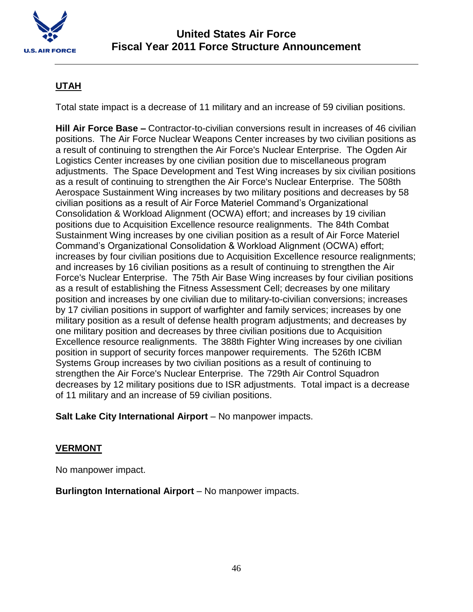

# **UTAH**

Total state impact is a decrease of 11 military and an increase of 59 civilian positions.

**Hill Air Force Base –** Contractor-to-civilian conversions result in increases of 46 civilian positions. The Air Force Nuclear Weapons Center increases by two civilian positions as a result of continuing to strengthen the Air Force's Nuclear Enterprise. The Ogden Air Logistics Center increases by one civilian position due to miscellaneous program adjustments. The Space Development and Test Wing increases by six civilian positions as a result of continuing to strengthen the Air Force's Nuclear Enterprise. The 508th Aerospace Sustainment Wing increases by two military positions and decreases by 58 civilian positions as a result of Air Force Materiel Command's Organizational Consolidation & Workload Alignment (OCWA) effort; and increases by 19 civilian positions due to Acquisition Excellence resource realignments. The 84th Combat Sustainment Wing increases by one civilian position as a result of Air Force Materiel Command's Organizational Consolidation & Workload Alignment (OCWA) effort; increases by four civilian positions due to Acquisition Excellence resource realignments; and increases by 16 civilian positions as a result of continuing to strengthen the Air Force's Nuclear Enterprise. The 75th Air Base Wing increases by four civilian positions as a result of establishing the Fitness Assessment Cell; decreases by one military position and increases by one civilian due to military-to-civilian conversions; increases by 17 civilian positions in support of warfighter and family services; increases by one military position as a result of defense health program adjustments; and decreases by one military position and decreases by three civilian positions due to Acquisition Excellence resource realignments. The 388th Fighter Wing increases by one civilian position in support of security forces manpower requirements. The 526th ICBM Systems Group increases by two civilian positions as a result of continuing to strengthen the Air Force's Nuclear Enterprise. The 729th Air Control Squadron decreases by 12 military positions due to ISR adjustments. Total impact is a decrease of 11 military and an increase of 59 civilian positions.

**Salt Lake City International Airport** – No manpower impacts.

# **VERMONT**

No manpower impact.

**Burlington International Airport** – No manpower impacts.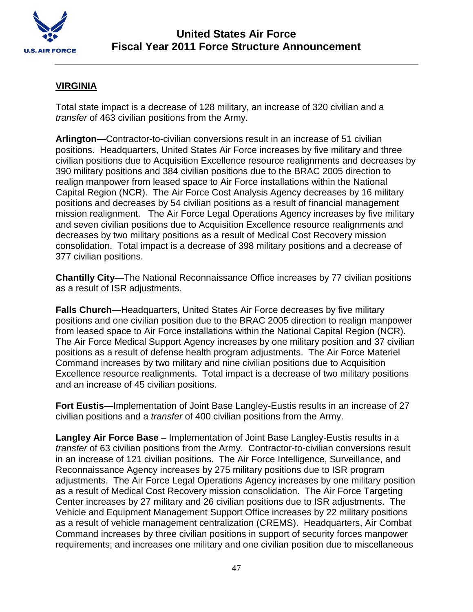

## **VIRGINIA**

Total state impact is a decrease of 128 military, an increase of 320 civilian and a *transfer* of 463 civilian positions from the Army.

**Arlington—**Contractor-to-civilian conversions result in an increase of 51 civilian positions. Headquarters, United States Air Force increases by five military and three civilian positions due to Acquisition Excellence resource realignments and decreases by 390 military positions and 384 civilian positions due to the BRAC 2005 direction to realign manpower from leased space to Air Force installations within the National Capital Region (NCR). The Air Force Cost Analysis Agency decreases by 16 military positions and decreases by 54 civilian positions as a result of financial management mission realignment. The Air Force Legal Operations Agency increases by five military and seven civilian positions due to Acquisition Excellence resource realignments and decreases by two military positions as a result of Medical Cost Recovery mission consolidation. Total impact is a decrease of 398 military positions and a decrease of 377 civilian positions.

**Chantilly City**—The National Reconnaissance Office increases by 77 civilian positions as a result of ISR adjustments.

**Falls Church**—Headquarters, United States Air Force decreases by five military positions and one civilian position due to the BRAC 2005 direction to realign manpower from leased space to Air Force installations within the National Capital Region (NCR). The Air Force Medical Support Agency increases by one military position and 37 civilian positions as a result of defense health program adjustments. The Air Force Materiel Command increases by two military and nine civilian positions due to Acquisition Excellence resource realignments. Total impact is a decrease of two military positions and an increase of 45 civilian positions.

**Fort Eustis**—Implementation of Joint Base Langley-Eustis results in an increase of 27 civilian positions and a *transfer* of 400 civilian positions from the Army.

**Langley Air Force Base –** Implementation of Joint Base Langley-Eustis results in a *transfer* of 63 civilian positions from the Army. Contractor-to-civilian conversions result in an increase of 121 civilian positions. The Air Force Intelligence, Surveillance, and Reconnaissance Agency increases by 275 military positions due to ISR program adjustments. The Air Force Legal Operations Agency increases by one military position as a result of Medical Cost Recovery mission consolidation. The Air Force Targeting Center increases by 27 military and 26 civilian positions due to ISR adjustments. The Vehicle and Equipment Management Support Office increases by 22 military positions as a result of vehicle management centralization (CREMS). Headquarters, Air Combat Command increases by three civilian positions in support of security forces manpower requirements; and increases one military and one civilian position due to miscellaneous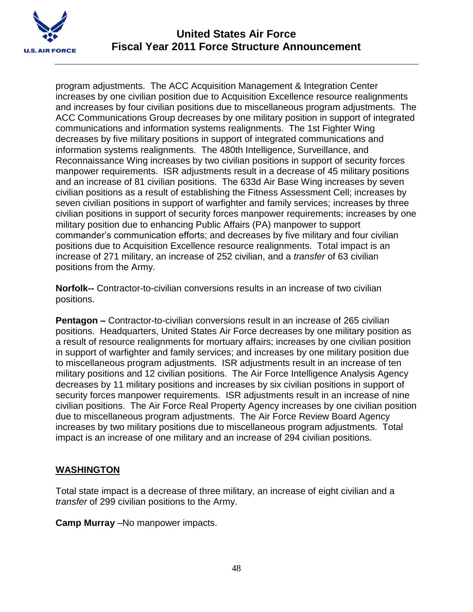

program adjustments. The ACC Acquisition Management & Integration Center increases by one civilian position due to Acquisition Excellence resource realignments and increases by four civilian positions due to miscellaneous program adjustments. The ACC Communications Group decreases by one military position in support of integrated communications and information systems realignments. The 1st Fighter Wing decreases by five military positions in support of integrated communications and information systems realignments. The 480th Intelligence, Surveillance, and Reconnaissance Wing increases by two civilian positions in support of security forces manpower requirements. ISR adjustments result in a decrease of 45 military positions and an increase of 81 civilian positions. The 633d Air Base Wing increases by seven civilian positions as a result of establishing the Fitness Assessment Cell; increases by seven civilian positions in support of warfighter and family services; increases by three civilian positions in support of security forces manpower requirements; increases by one military position due to enhancing Public Affairs (PA) manpower to support commander's communication efforts; and decreases by five military and four civilian positions due to Acquisition Excellence resource realignments. Total impact is an increase of 271 military, an increase of 252 civilian, and a *transfer* of 63 civilian positions from the Army.

**Norfolk--** Contractor-to-civilian conversions results in an increase of two civilian positions.

**Pentagon –** Contractor-to-civilian conversions result in an increase of 265 civilian positions. Headquarters, United States Air Force decreases by one military position as a result of resource realignments for mortuary affairs; increases by one civilian position in support of warfighter and family services; and increases by one military position due to miscellaneous program adjustments. ISR adjustments result in an increase of ten military positions and 12 civilian positions. The Air Force Intelligence Analysis Agency decreases by 11 military positions and increases by six civilian positions in support of security forces manpower requirements. ISR adjustments result in an increase of nine civilian positions. The Air Force Real Property Agency increases by one civilian position due to miscellaneous program adjustments. The Air Force Review Board Agency increases by two military positions due to miscellaneous program adjustments. Total impact is an increase of one military and an increase of 294 civilian positions.

## **WASHINGTON**

Total state impact is a decrease of three military, an increase of eight civilian and a *transfer* of 299 civilian positions to the Army.

**Camp Murray** –No manpower impacts.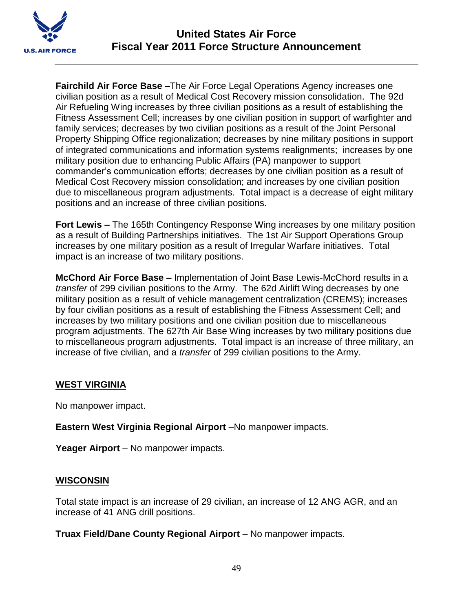

**Fairchild Air Force Base –**The Air Force Legal Operations Agency increases one civilian position as a result of Medical Cost Recovery mission consolidation. The 92d Air Refueling Wing increases by three civilian positions as a result of establishing the Fitness Assessment Cell; increases by one civilian position in support of warfighter and family services; decreases by two civilian positions as a result of the Joint Personal Property Shipping Office regionalization; decreases by nine military positions in support of integrated communications and information systems realignments; increases by one military position due to enhancing Public Affairs (PA) manpower to support commander's communication efforts; decreases by one civilian position as a result of Medical Cost Recovery mission consolidation; and increases by one civilian position due to miscellaneous program adjustments. Total impact is a decrease of eight military positions and an increase of three civilian positions.

**Fort Lewis –** The 165th Contingency Response Wing increases by one military position as a result of Building Partnerships initiatives. The 1st Air Support Operations Group increases by one military position as a result of Irregular Warfare initiatives. Total impact is an increase of two military positions.

**McChord Air Force Base –** Implementation of Joint Base Lewis-McChord results in a *transfer* of 299 civilian positions to the Army. The 62d Airlift Wing decreases by one military position as a result of vehicle management centralization (CREMS); increases by four civilian positions as a result of establishing the Fitness Assessment Cell; and increases by two military positions and one civilian position due to miscellaneous program adjustments. The 627th Air Base Wing increases by two military positions due to miscellaneous program adjustments. Total impact is an increase of three military, an increase of five civilian, and a *transfer* of 299 civilian positions to the Army.

#### **WEST VIRGINIA**

No manpower impact.

**Eastern West Virginia Regional Airport** –No manpower impacts.

Yeager Airport – No manpower impacts.

#### **WISCONSIN**

Total state impact is an increase of 29 civilian, an increase of 12 ANG AGR, and an increase of 41 ANG drill positions.

**Truax Field/Dane County Regional Airport** – No manpower impacts.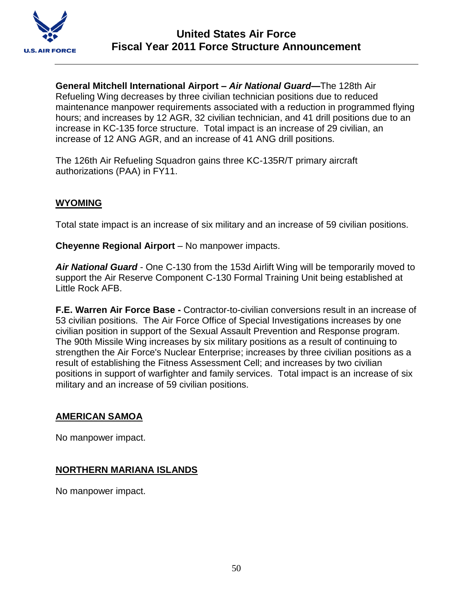

**General Mitchell International Airport –** *Air National Guard***—**The 128th Air Refueling Wing decreases by three civilian technician positions due to reduced maintenance manpower requirements associated with a reduction in programmed flying hours; and increases by 12 AGR, 32 civilian technician, and 41 drill positions due to an increase in KC-135 force structure. Total impact is an increase of 29 civilian, an increase of 12 ANG AGR, and an increase of 41 ANG drill positions.

The 126th Air Refueling Squadron gains three KC-135R/T primary aircraft authorizations (PAA) in FY11.

## **WYOMING**

Total state impact is an increase of six military and an increase of 59 civilian positions.

**Cheyenne Regional Airport** – No manpower impacts.

*Air National Guard* - One C-130 from the 153d Airlift Wing will be temporarily moved to support the Air Reserve Component C-130 Formal Training Unit being established at Little Rock AFB.

**F.E. Warren Air Force Base -** Contractor-to-civilian conversions result in an increase of 53 civilian positions. The Air Force Office of Special Investigations increases by one civilian position in support of the Sexual Assault Prevention and Response program. The 90th Missile Wing increases by six military positions as a result of continuing to strengthen the Air Force's Nuclear Enterprise; increases by three civilian positions as a result of establishing the Fitness Assessment Cell; and increases by two civilian positions in support of warfighter and family services. Total impact is an increase of six military and an increase of 59 civilian positions.

## **AMERICAN SAMOA**

No manpower impact.

## **NORTHERN MARIANA ISLANDS**

No manpower impact.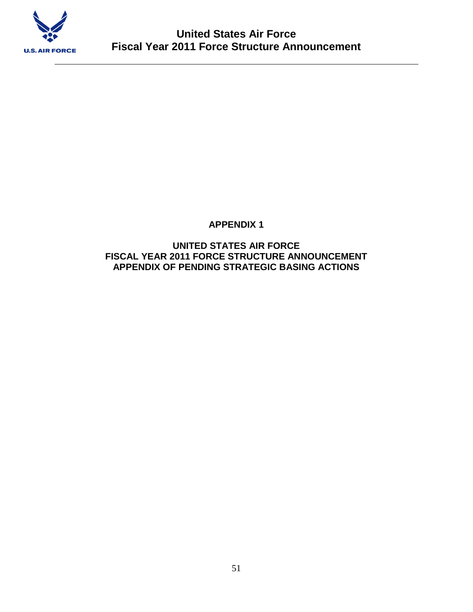

# **APPENDIX 1**

### **UNITED STATES AIR FORCE FISCAL YEAR 2011 FORCE STRUCTURE ANNOUNCEMENT APPENDIX OF PENDING STRATEGIC BASING ACTIONS**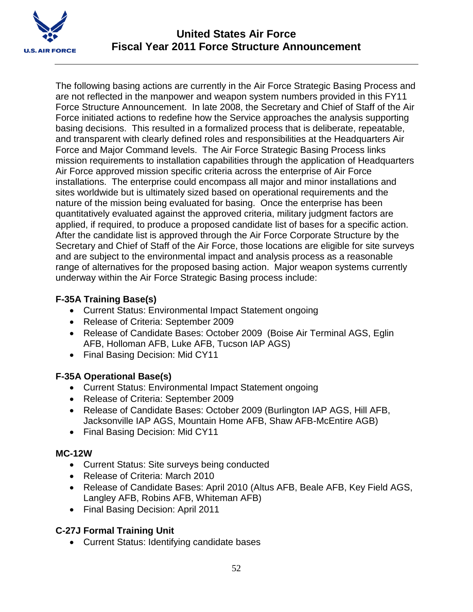

The following basing actions are currently in the Air Force Strategic Basing Process and are not reflected in the manpower and weapon system numbers provided in this FY11 Force Structure Announcement. In late 2008, the Secretary and Chief of Staff of the Air Force initiated actions to redefine how the Service approaches the analysis supporting basing decisions. This resulted in a formalized process that is deliberate, repeatable, and transparent with clearly defined roles and responsibilities at the Headquarters Air Force and Major Command levels. The Air Force Strategic Basing Process links mission requirements to installation capabilities through the application of Headquarters Air Force approved mission specific criteria across the enterprise of Air Force installations. The enterprise could encompass all major and minor installations and sites worldwide but is ultimately sized based on operational requirements and the nature of the mission being evaluated for basing. Once the enterprise has been quantitatively evaluated against the approved criteria, military judgment factors are applied, if required, to produce a proposed candidate list of bases for a specific action. After the candidate list is approved through the Air Force Corporate Structure by the Secretary and Chief of Staff of the Air Force, those locations are eligible for site surveys and are subject to the environmental impact and analysis process as a reasonable range of alternatives for the proposed basing action. Major weapon systems currently underway within the Air Force Strategic Basing process include:

# **F-35A Training Base(s)**

- Current Status: Environmental Impact Statement ongoing
- Release of Criteria: September 2009
- Release of Candidate Bases: October 2009 (Boise Air Terminal AGS, Eglin AFB, Holloman AFB, Luke AFB, Tucson IAP AGS)
- Final Basing Decision: Mid CY11

# **F-35A Operational Base(s)**

- Current Status: Environmental Impact Statement ongoing
- Release of Criteria: September 2009
- Release of Candidate Bases: October 2009 (Burlington IAP AGS, Hill AFB, Jacksonville IAP AGS, Mountain Home AFB, Shaw AFB-McEntire AGB)
- Final Basing Decision: Mid CY11

# **MC-12W**

- Current Status: Site surveys being conducted
- Release of Criteria: March 2010
- Release of Candidate Bases: April 2010 (Altus AFB, Beale AFB, Key Field AGS, Langley AFB, Robins AFB, Whiteman AFB)
- Final Basing Decision: April 2011

# **C-27J Formal Training Unit**

Current Status: Identifying candidate bases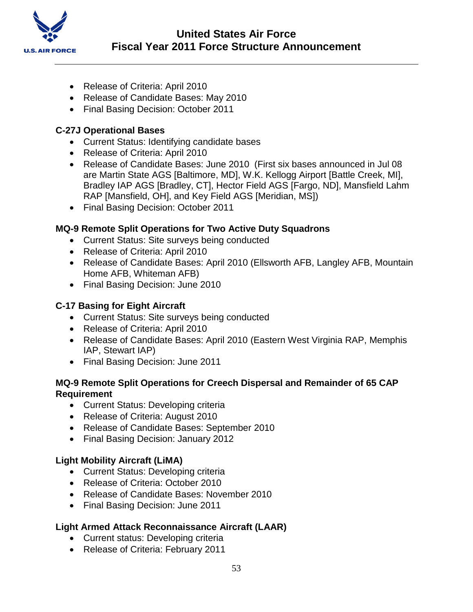

- Release of Criteria: April 2010
- Release of Candidate Bases: May 2010
- Final Basing Decision: October 2011

#### **C-27J Operational Bases**

- Current Status: Identifying candidate bases
- Release of Criteria: April 2010
- Release of Candidate Bases: June 2010 (First six bases announced in Jul 08 are Martin State AGS [Baltimore, MD], W.K. Kellogg Airport [Battle Creek, MI], Bradley IAP AGS [Bradley, CT], Hector Field AGS [Fargo, ND], Mansfield Lahm RAP [Mansfield, OH], and Key Field AGS [Meridian, MS])
- Final Basing Decision: October 2011

## **MQ-9 Remote Split Operations for Two Active Duty Squadrons**

- Current Status: Site surveys being conducted
- Release of Criteria: April 2010
- Release of Candidate Bases: April 2010 (Ellsworth AFB, Langley AFB, Mountain Home AFB, Whiteman AFB)
- Final Basing Decision: June 2010

## **C-17 Basing for Eight Aircraft**

- Current Status: Site surveys being conducted
- Release of Criteria: April 2010
- Release of Candidate Bases: April 2010 (Eastern West Virginia RAP, Memphis IAP, Stewart IAP)
- Final Basing Decision: June 2011

### **MQ-9 Remote Split Operations for Creech Dispersal and Remainder of 65 CAP Requirement**

- Current Status: Developing criteria
- Release of Criteria: August 2010
- Release of Candidate Bases: September 2010
- Final Basing Decision: January 2012

#### **Light Mobility Aircraft (LiMA)**

- Current Status: Developing criteria
- Release of Criteria: October 2010
- Release of Candidate Bases: November 2010
- Final Basing Decision: June 2011

## **Light Armed Attack Reconnaissance Aircraft (LAAR)**

- Current status: Developing criteria
- Release of Criteria: February 2011